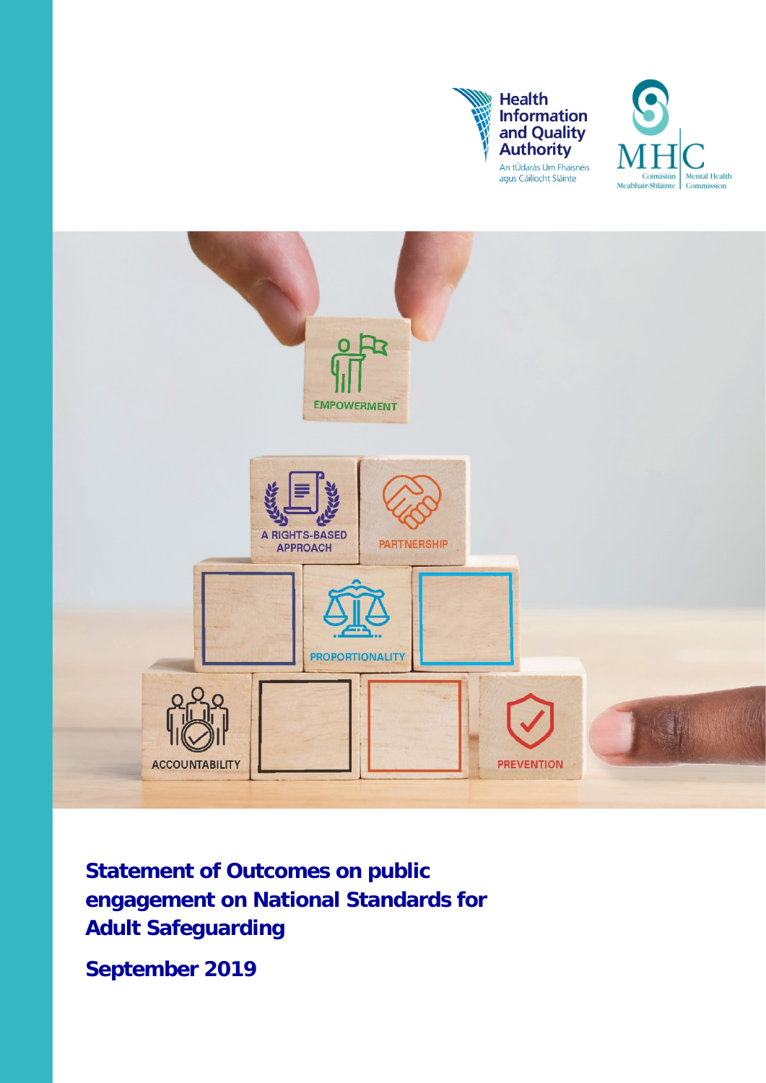





**Statement of Outcomes on public engagement on National Standards for Adult Safeguarding** 

**September 2019**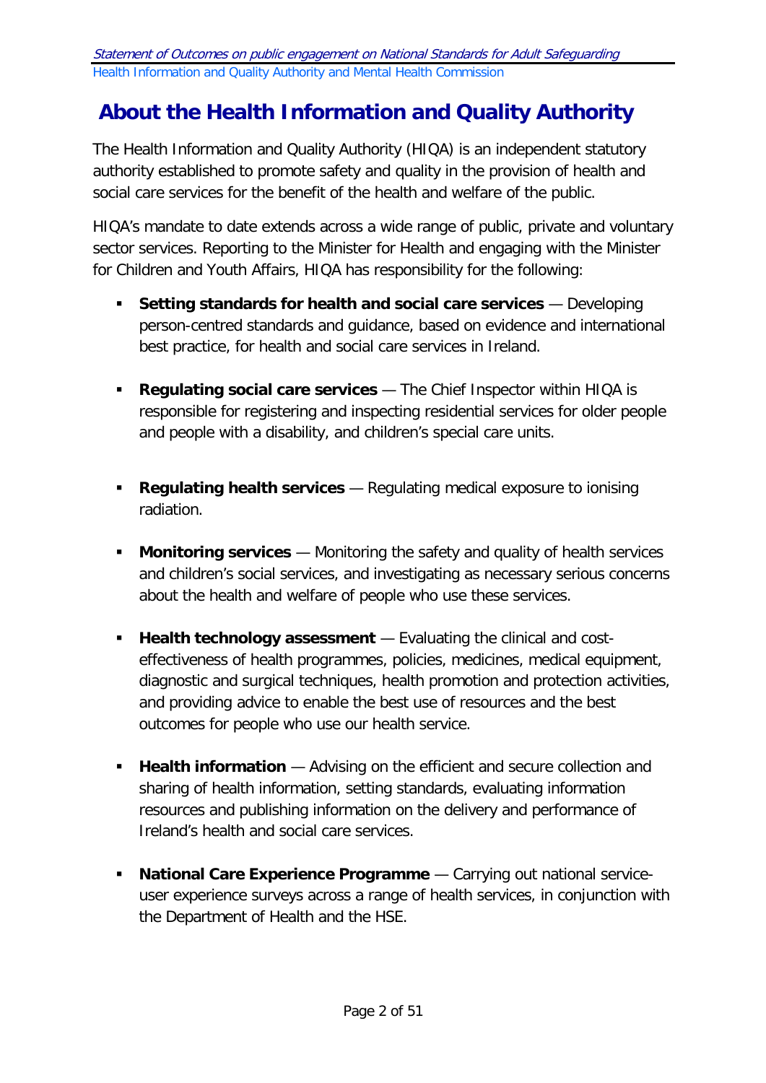# <span id="page-1-0"></span>**About the Health Information and Quality Authority**

The Health Information and Quality Authority (HIQA) is an independent statutory authority established to promote safety and quality in the provision of health and social care services for the benefit of the health and welfare of the public.

HIQA's mandate to date extends across a wide range of public, private and voluntary sector services. Reporting to the Minister for Health and engaging with the Minister for Children and Youth Affairs, HIQA has responsibility for the following:

- **Setting standards for health and social care services** Developing person-centred standards and guidance, based on evidence and international best practice, for health and social care services in Ireland.
- **Regulating social care services**  The Chief Inspector within HIQA is responsible for registering and inspecting residential services for older people and people with a disability, and children's special care units.
- **Regulating health services** Regulating medical exposure to ionising radiation.
- **Monitoring services** Monitoring the safety and quality of health services and children's social services, and investigating as necessary serious concerns about the health and welfare of people who use these services.
- **Health technology assessment** Evaluating the clinical and costeffectiveness of health programmes, policies, medicines, medical equipment, diagnostic and surgical techniques, health promotion and protection activities, and providing advice to enable the best use of resources and the best outcomes for people who use our health service.
- **Health information** Advising on the efficient and secure collection and sharing of health information, setting standards, evaluating information resources and publishing information on the delivery and performance of Ireland's health and social care services.
- **National Care Experience Programme** Carrying out national serviceuser experience surveys across a range of health services, in conjunction with the Department of Health and the HSE.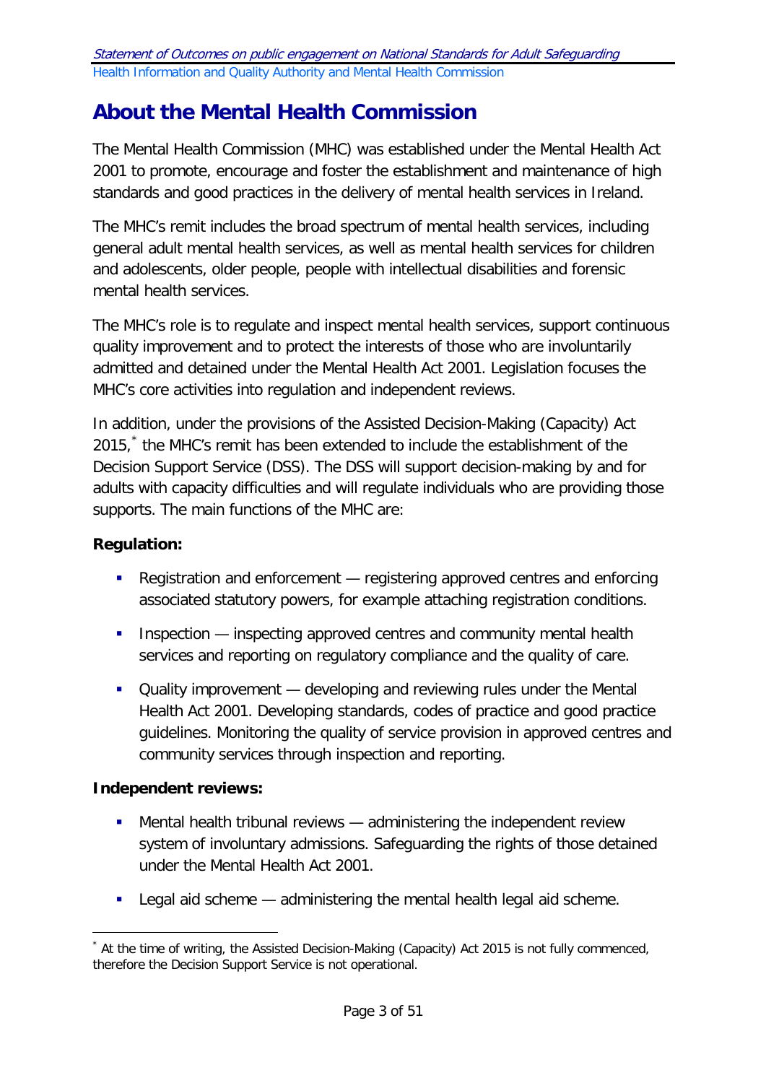# <span id="page-2-1"></span>**About the Mental Health Commission**

The Mental Health Commission (MHC) was established under the Mental Health Act 2001 to promote, encourage and foster the establishment and maintenance of high standards and good practices in the delivery of mental health services in Ireland.

The MHC's remit includes the broad spectrum of mental health services, including general adult mental health services, as well as mental health services for children and adolescents, older people, people with intellectual disabilities and forensic mental health services.

The MHC's role is to regulate and inspect mental health services, support continuous quality improvement and to protect the interests of those who are involuntarily admitted and detained under the Mental Health Act 2001. Legislation focuses the MHC's core activities into regulation and independent reviews.

In addition, under the provisions of the Assisted Decision-Making (Capacity) Act 2015,<sup>[\\*](#page-2-0)</sup> the MHC's remit has been extended to include the establishment of the Decision Support Service (DSS). The DSS will support decision-making by and for adults with capacity difficulties and will regulate individuals who are providing those supports. The main functions of the MHC are:

## **Regulation:**

- Registration and enforcement registering approved centres and enforcing associated statutory powers, for example attaching registration conditions.
- **Inspection** inspecting approved centres and community mental health services and reporting on regulatory compliance and the quality of care.
- **Quality improvement** developing and reviewing rules under the Mental Health Act 2001. Developing standards, codes of practice and good practice guidelines. Monitoring the quality of service provision in approved centres and community services through inspection and reporting.

# **Independent reviews:**

- Mental health tribunal reviews administering the independent review system of involuntary admissions. Safeguarding the rights of those detained under the Mental Health Act 2001.
- **EXECTE 1** Legal aid scheme administering the mental health legal aid scheme.

<span id="page-2-0"></span><sup>-</sup>At the time of writing, the Assisted Decision-Making (Capacity) Act 2015 is not fully commenced, therefore the Decision Support Service is not operational.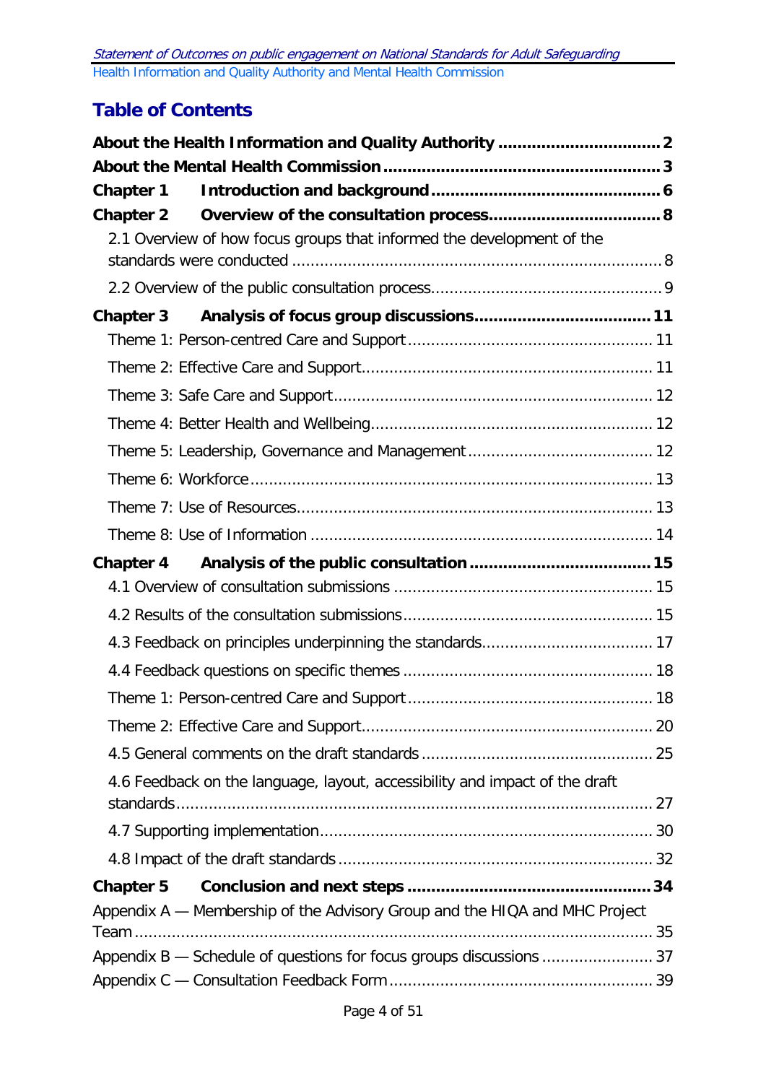# **Table of Contents**

| <b>Chapter 1</b> |                                                                             |  |
|------------------|-----------------------------------------------------------------------------|--|
|                  |                                                                             |  |
|                  | 2.1 Overview of how focus groups that informed the development of the       |  |
|                  |                                                                             |  |
|                  |                                                                             |  |
|                  |                                                                             |  |
|                  |                                                                             |  |
|                  |                                                                             |  |
|                  |                                                                             |  |
|                  |                                                                             |  |
|                  |                                                                             |  |
|                  |                                                                             |  |
|                  |                                                                             |  |
| <b>Chapter 4</b> |                                                                             |  |
|                  |                                                                             |  |
|                  |                                                                             |  |
|                  |                                                                             |  |
|                  |                                                                             |  |
|                  |                                                                             |  |
|                  |                                                                             |  |
|                  |                                                                             |  |
|                  | 4.6 Feedback on the language, layout, accessibility and impact of the draft |  |
|                  |                                                                             |  |
|                  |                                                                             |  |
| <b>Chapter 5</b> |                                                                             |  |
|                  | Appendix A — Membership of the Advisory Group and the HIQA and MHC Project  |  |
|                  |                                                                             |  |
|                  |                                                                             |  |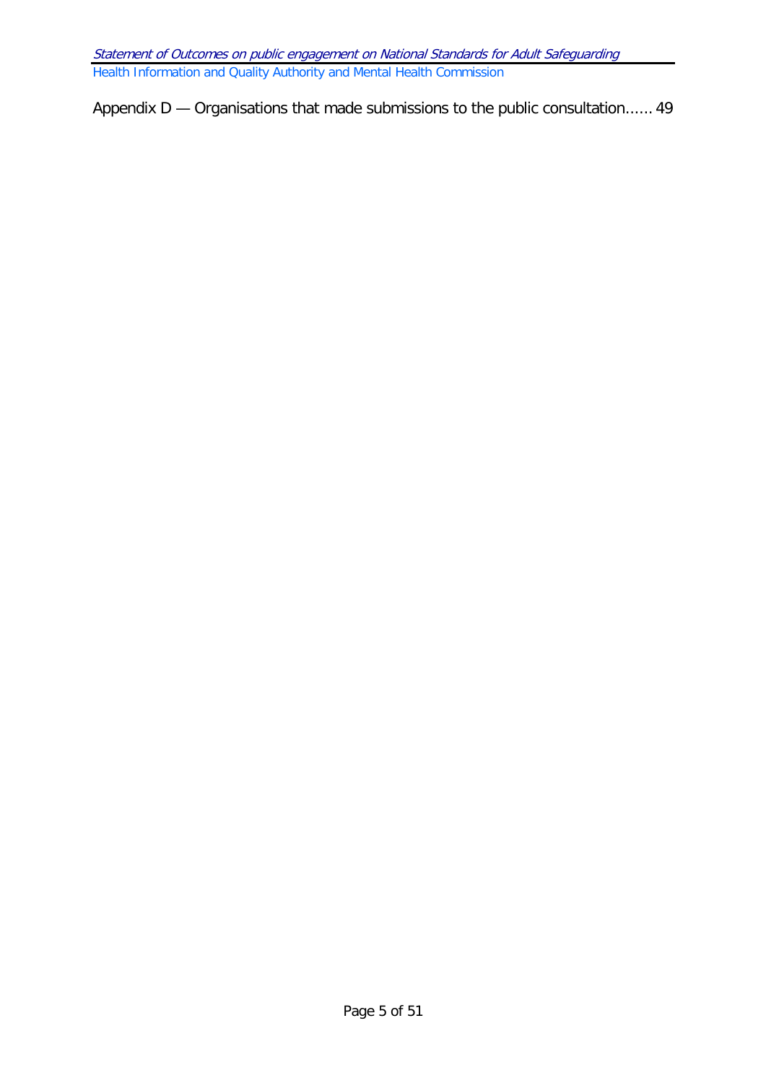<span id="page-4-0"></span>Appendix D — [Organisations that made submissions to the public consultation......](#page-48-0) 49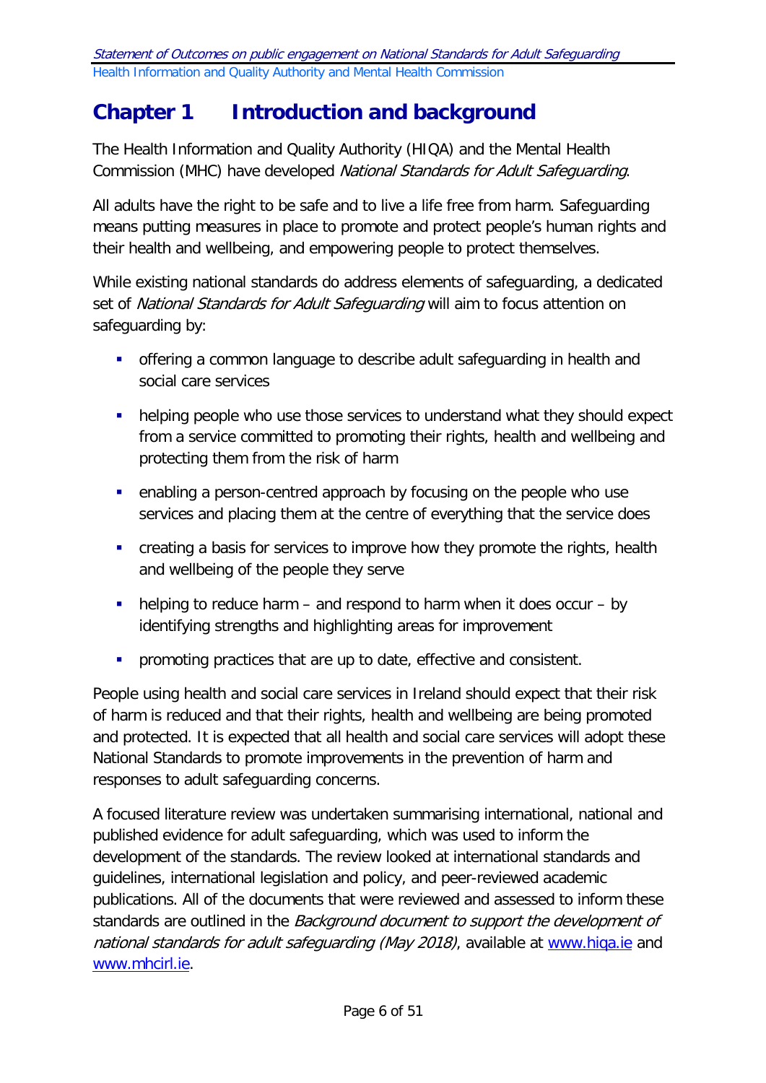# **Chapter 1 Introduction and background**

The Health Information and Quality Authority (HIQA) and the Mental Health Commission (MHC) have developed National Standards for Adult Safeguarding.

All adults have the right to be safe and to live a life free from harm. Safeguarding means putting measures in place to promote and protect people's human rights and their health and wellbeing, and empowering people to protect themselves.

While existing national standards do address elements of safeguarding, a dedicated set of National Standards for Adult Safeguarding will aim to focus attention on safeguarding by:

- offering a common language to describe adult safeguarding in health and social care services
- helping people who use those services to understand what they should expect from a service committed to promoting their rights, health and wellbeing and protecting them from the risk of harm
- enabling a person-centred approach by focusing on the people who use services and placing them at the centre of everything that the service does
- **EXT** creating a basis for services to improve how they promote the rights, health and wellbeing of the people they serve
- $\blacksquare$  helping to reduce harm and respond to harm when it does occur by identifying strengths and highlighting areas for improvement
- **•** promoting practices that are up to date, effective and consistent.

People using health and social care services in Ireland should expect that their risk of harm is reduced and that their rights, health and wellbeing are being promoted and protected. It is expected that all health and social care services will adopt these National Standards to promote improvements in the prevention of harm and responses to adult safeguarding concerns.

A focused literature review was undertaken summarising international, national and published evidence for adult safeguarding, which was used to inform the development of the standards. The review looked at international standards and guidelines, international legislation and policy, and peer-reviewed academic publications. All of the documents that were reviewed and assessed to inform these standards are outlined in the Background document to support the development of national standards for adult safeguarding (May 2018), available at [www.hiqa.ie](http://www.hiqa.ie/) and [www.mhcirl.ie.](http://www.mhcirl.ie/)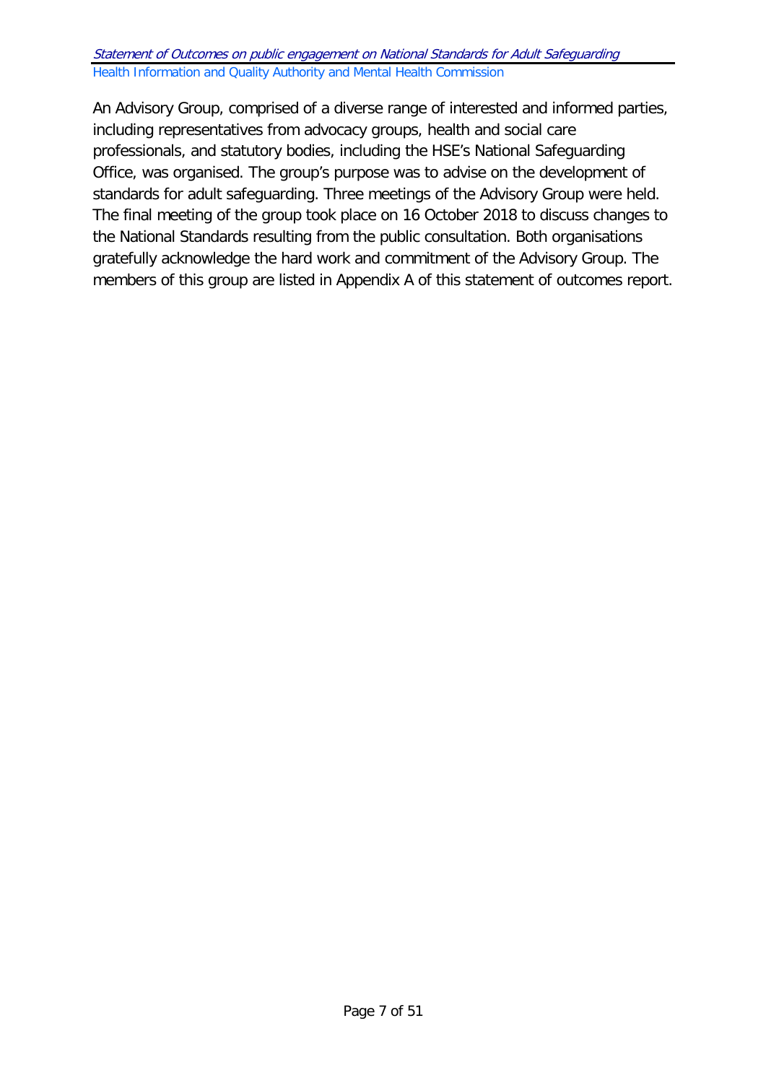An Advisory Group, comprised of a diverse range of interested and informed parties, including representatives from advocacy groups, health and social care professionals, and statutory bodies, including the HSE's National Safeguarding Office, was organised. The group's purpose was to advise on the development of standards for adult safeguarding. Three meetings of the Advisory Group were held. The final meeting of the group took place on 16 October 2018 to discuss changes to the National Standards resulting from the public consultation. Both organisations gratefully acknowledge the hard work and commitment of the Advisory Group. The members of this group are listed in Appendix A of this statement of outcomes report.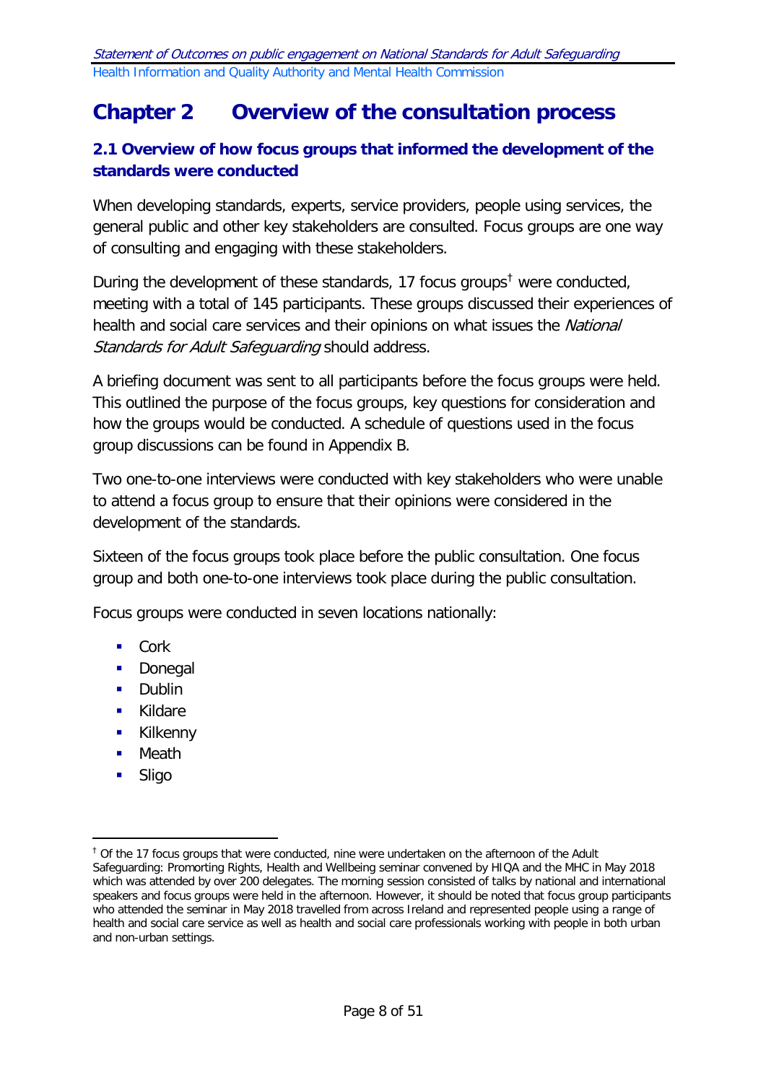# <span id="page-7-0"></span>**Chapter 2 Overview of the consultation process**

# <span id="page-7-1"></span>**2.1 Overview of how focus groups that informed the development of the standards were conducted**

When developing standards, experts, service providers, people using services, the general public and other key stakeholders are consulted. Focus groups are one way of consulting and engaging with these stakeholders.

During the development of these standards, 17 focus groups<sup>[†](#page-7-2)</sup> were conducted, meeting with a total of 145 participants. These groups discussed their experiences of health and social care services and their opinions on what issues the National Standards for Adult Safeguarding should address.

A briefing document was sent to all participants before the focus groups were held. This outlined the purpose of the focus groups, key questions for consideration and how the groups would be conducted. A schedule of questions used in the focus group discussions can be found in Appendix B.

Two one-to-one interviews were conducted with key stakeholders who were unable to attend a focus group to ensure that their opinions were considered in the development of the standards.

Sixteen of the focus groups took place before the public consultation. One focus group and both one-to-one interviews took place during the public consultation.

Focus groups were conducted in seven locations nationally:

- $Cork$
- **Donegal**
- **Dublin**
- **Kildare**
- **Kilkenny**
- **B** Meath
- Sligo

-

<span id="page-7-2"></span> $<sup>†</sup>$  Of the 17 focus groups that were conducted, nine were undertaken on the afternoon of the Adult</sup> Safeguarding: Promorting Rights, Health and Wellbeing seminar convened by HIQA and the MHC in May 2018 which was attended by over 200 delegates. The morning session consisted of talks by national and international speakers and focus groups were held in the afternoon. However, it should be noted that focus group participants who attended the seminar in May 2018 travelled from across Ireland and represented people using a range of health and social care service as well as health and social care professionals working with people in both urban and non-urban settings.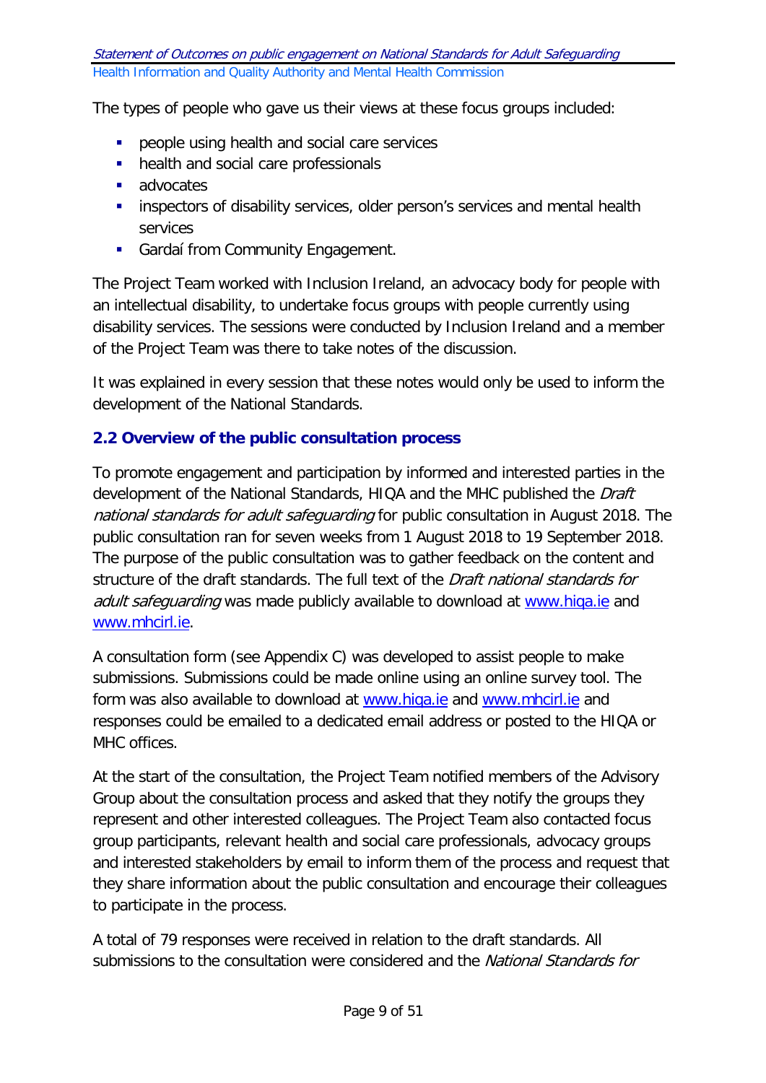The types of people who gave us their views at these focus groups included:

- **People using health and social care services**
- health and social care professionals
- **advocates**
- **EXTERNITHS Inspectors of disability services, older person's services and mental health** services
- **Gardaí from Community Engagement.**

The Project Team worked with Inclusion Ireland, an advocacy body for people with an intellectual disability, to undertake focus groups with people currently using disability services. The sessions were conducted by Inclusion Ireland and a member of the Project Team was there to take notes of the discussion.

It was explained in every session that these notes would only be used to inform the development of the National Standards.

### <span id="page-8-0"></span>**2.2 Overview of the public consultation process**

To promote engagement and participation by informed and interested parties in the development of the National Standards, HIQA and the MHC published the Draft national standards for adult safeguarding for public consultation in August 2018. The public consultation ran for seven weeks from 1 August 2018 to 19 September 2018. The purpose of the public consultation was to gather feedback on the content and structure of the draft standards. The full text of the *Draft national standards for* adult safequarding was made publicly available to download at [www.hiqa.ie](http://www.hiqa.ie/) and [www.mhcirl.ie.](http://www.mhcirl.ie/)

A consultation form (see Appendix C) was developed to assist people to make submissions. Submissions could be made online using an online survey tool. The form was also available to download at [www.hiqa.ie](http://www.hiqa.ie/) and [www.mhcirl.ie](http://www.mhcirl.ie/) and responses could be emailed to a dedicated email address or posted to the HIQA or MHC offices.

At the start of the consultation, the Project Team notified members of the Advisory Group about the consultation process and asked that they notify the groups they represent and other interested colleagues. The Project Team also contacted focus group participants, relevant health and social care professionals, advocacy groups and interested stakeholders by email to inform them of the process and request that they share information about the public consultation and encourage their colleagues to participate in the process.

A total of 79 responses were received in relation to the draft standards. All submissions to the consultation were considered and the *National Standards for*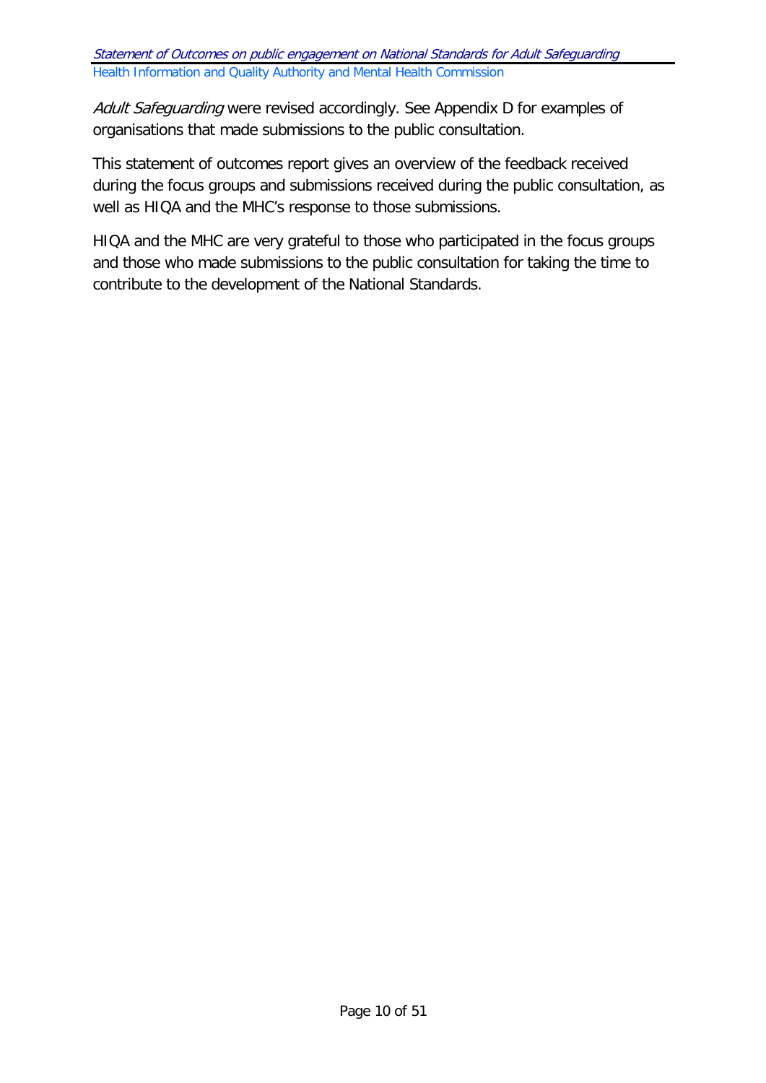Adult Safeguarding were revised accordingly. See Appendix D for examples of organisations that made submissions to the public consultation.

This statement of outcomes report gives an overview of the feedback received during the focus groups and submissions received during the public consultation, as well as HIQA and the MHC's response to those submissions.

HIQA and the MHC are very grateful to those who participated in the focus groups and those who made submissions to the public consultation for taking the time to contribute to the development of the National Standards.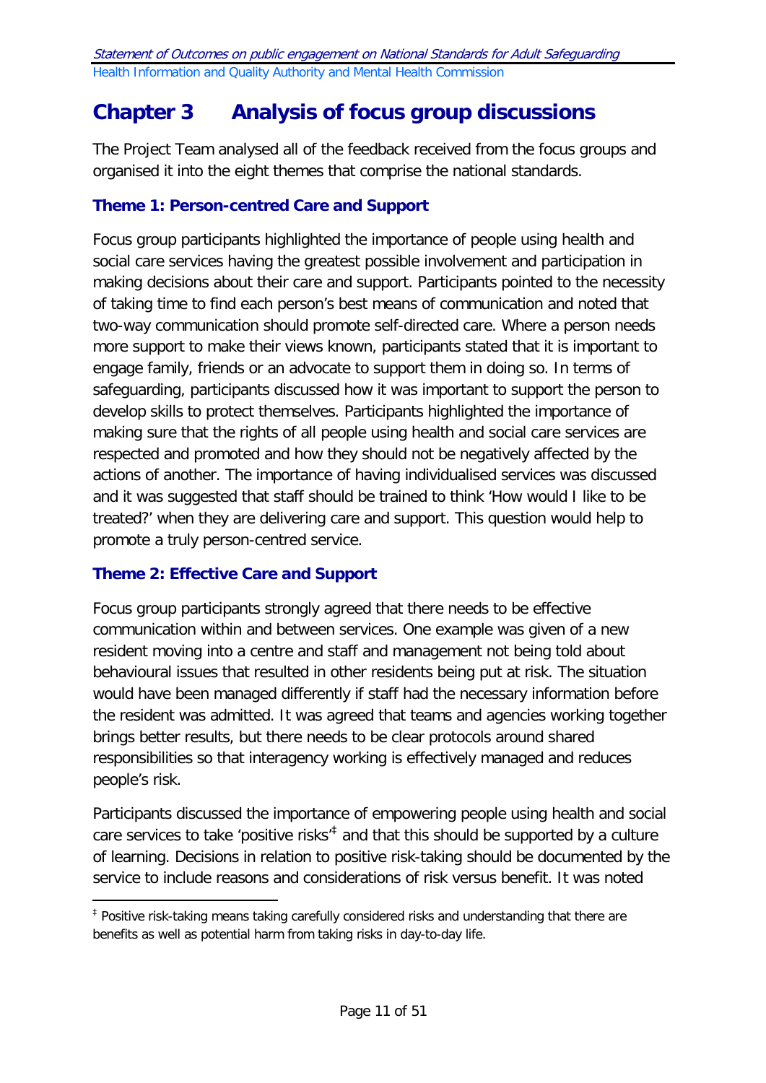# <span id="page-10-0"></span>**Chapter 3 Analysis of focus group discussions**

The Project Team analysed all of the feedback received from the focus groups and organised it into the eight themes that comprise the national standards.

## <span id="page-10-1"></span>**Theme 1: Person-centred Care and Support**

Focus group participants highlighted the importance of people using health and social care services having the greatest possible involvement and participation in making decisions about their care and support. Participants pointed to the necessity of taking time to find each person's best means of communication and noted that two-way communication should promote self-directed care. Where a person needs more support to make their views known, participants stated that it is important to engage family, friends or an advocate to support them in doing so. In terms of safeguarding, participants discussed how it was important to support the person to develop skills to protect themselves. Participants highlighted the importance of making sure that the rights of all people using health and social care services are respected and promoted and how they should not be negatively affected by the actions of another. The importance of having individualised services was discussed and it was suggested that staff should be trained to think 'How would I like to be treated?' when they are delivering care and support. This question would help to promote a truly person-centred service.

# <span id="page-10-2"></span>**Theme 2: Effective Care and Support**

-

Focus group participants strongly agreed that there needs to be effective communication within and between services. One example was given of a new resident moving into a centre and staff and management not being told about behavioural issues that resulted in other residents being put at risk. The situation would have been managed differently if staff had the necessary information before the resident was admitted. It was agreed that teams and agencies working together brings better results, but there needs to be clear protocols around shared responsibilities so that interagency working is effectively managed and reduces people's risk.

Participants discussed the importance of empowering people using health and social care services to take 'positive risks'<sup> $\ddagger$ </sup> and that this should be supported by a culture of learning. Decisions in relation to positive risk-taking should be documented by the service to include reasons and considerations of risk versus benefit. It was noted

<span id="page-10-3"></span><sup>‡</sup> Positive risk-taking means taking carefully considered risks and understanding that there are benefits as well as potential harm from taking risks in day-to-day life.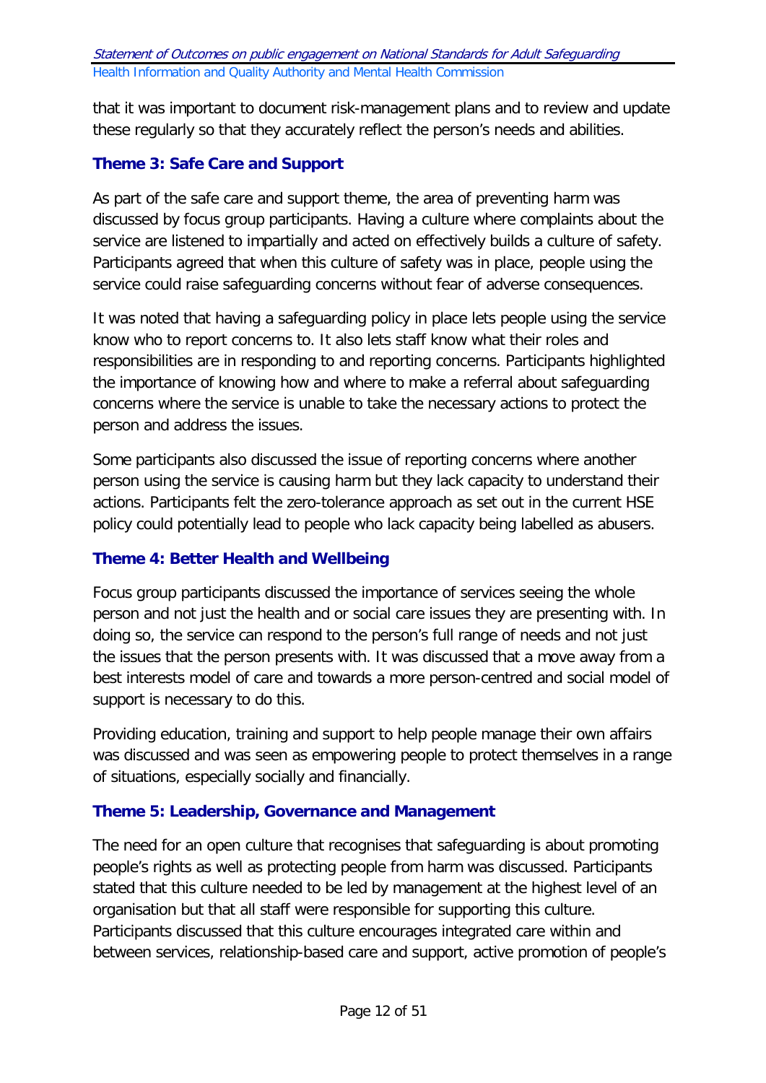that it was important to document risk-management plans and to review and update these regularly so that they accurately reflect the person's needs and abilities.

# <span id="page-11-0"></span>**Theme 3: Safe Care and Support**

As part of the safe care and support theme, the area of preventing harm was discussed by focus group participants. Having a culture where complaints about the service are listened to impartially and acted on effectively builds a culture of safety. Participants agreed that when this culture of safety was in place, people using the service could raise safeguarding concerns without fear of adverse consequences.

It was noted that having a safeguarding policy in place lets people using the service know who to report concerns to. It also lets staff know what their roles and responsibilities are in responding to and reporting concerns. Participants highlighted the importance of knowing how and where to make a referral about safeguarding concerns where the service is unable to take the necessary actions to protect the person and address the issues.

Some participants also discussed the issue of reporting concerns where another person using the service is causing harm but they lack capacity to understand their actions. Participants felt the zero-tolerance approach as set out in the current HSE policy could potentially lead to people who lack capacity being labelled as abusers.

# <span id="page-11-1"></span>**Theme 4: Better Health and Wellbeing**

Focus group participants discussed the importance of services seeing the whole person and not just the health and or social care issues they are presenting with. In doing so, the service can respond to the person's full range of needs and not just the issues that the person presents with. It was discussed that a move away from a best interests model of care and towards a more person-centred and social model of support is necessary to do this.

Providing education, training and support to help people manage their own affairs was discussed and was seen as empowering people to protect themselves in a range of situations, especially socially and financially.

# <span id="page-11-2"></span>**Theme 5: Leadership, Governance and Management**

The need for an open culture that recognises that safeguarding is about promoting people's rights as well as protecting people from harm was discussed. Participants stated that this culture needed to be led by management at the highest level of an organisation but that all staff were responsible for supporting this culture. Participants discussed that this culture encourages integrated care within and between services, relationship-based care and support, active promotion of people's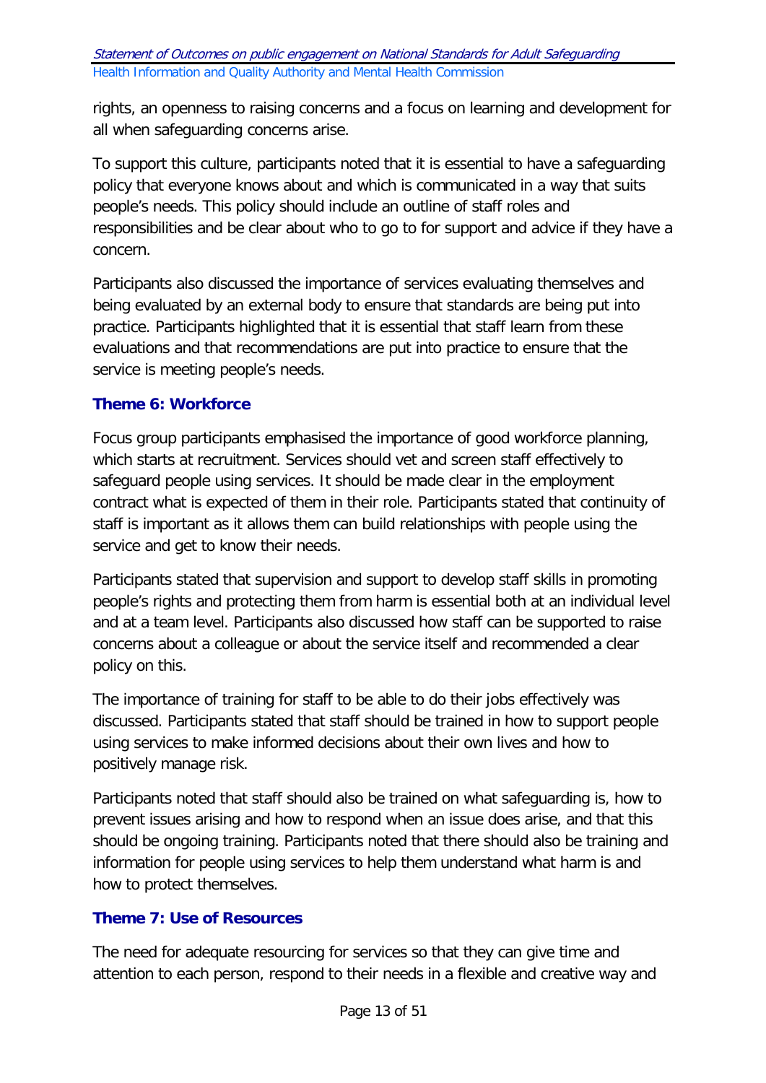rights, an openness to raising concerns and a focus on learning and development for all when safeguarding concerns arise.

To support this culture, participants noted that it is essential to have a safeguarding policy that everyone knows about and which is communicated in a way that suits people's needs. This policy should include an outline of staff roles and responsibilities and be clear about who to go to for support and advice if they have a concern.

Participants also discussed the importance of services evaluating themselves and being evaluated by an external body to ensure that standards are being put into practice. Participants highlighted that it is essential that staff learn from these evaluations and that recommendations are put into practice to ensure that the service is meeting people's needs.

# <span id="page-12-0"></span>**Theme 6: Workforce**

Focus group participants emphasised the importance of good workforce planning, which starts at recruitment. Services should vet and screen staff effectively to safeguard people using services. It should be made clear in the employment contract what is expected of them in their role. Participants stated that continuity of staff is important as it allows them can build relationships with people using the service and get to know their needs.

Participants stated that supervision and support to develop staff skills in promoting people's rights and protecting them from harm is essential both at an individual level and at a team level. Participants also discussed how staff can be supported to raise concerns about a colleague or about the service itself and recommended a clear policy on this.

The importance of training for staff to be able to do their jobs effectively was discussed. Participants stated that staff should be trained in how to support people using services to make informed decisions about their own lives and how to positively manage risk.

Participants noted that staff should also be trained on what safeguarding is, how to prevent issues arising and how to respond when an issue does arise, and that this should be ongoing training. Participants noted that there should also be training and information for people using services to help them understand what harm is and how to protect themselves.

# <span id="page-12-1"></span>**Theme 7: Use of Resources**

The need for adequate resourcing for services so that they can give time and attention to each person, respond to their needs in a flexible and creative way and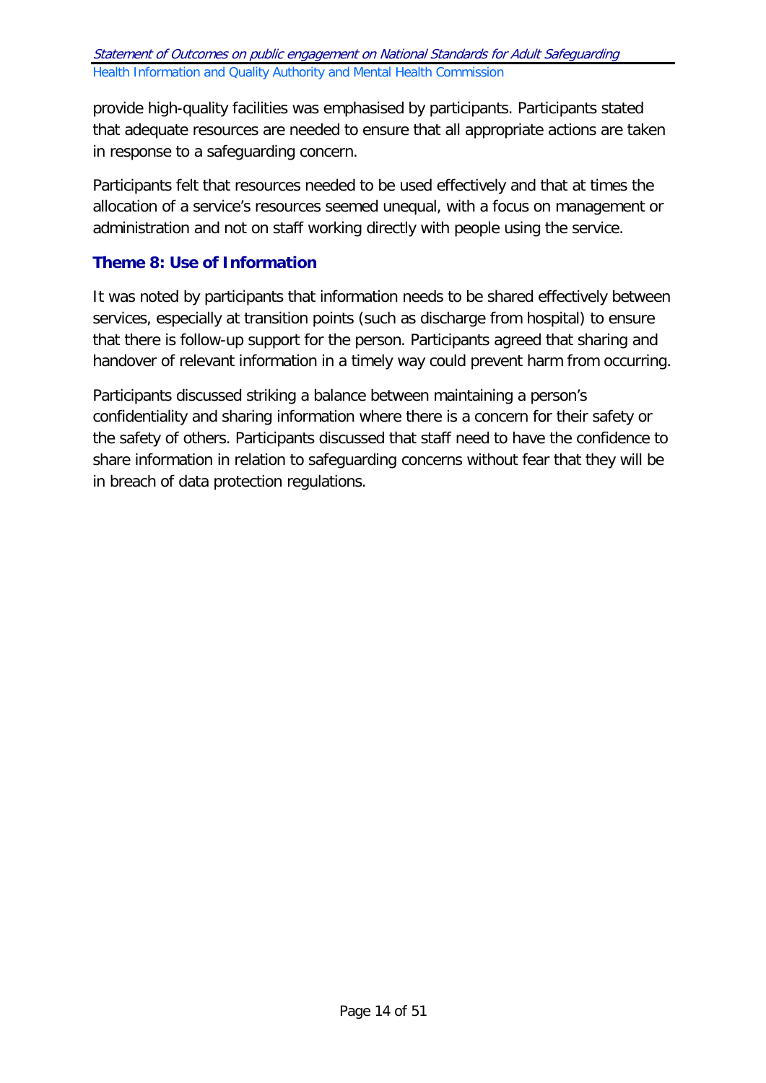provide high-quality facilities was emphasised by participants. Participants stated that adequate resources are needed to ensure that all appropriate actions are taken in response to a safeguarding concern.

Participants felt that resources needed to be used effectively and that at times the allocation of a service's resources seemed unequal, with a focus on management or administration and not on staff working directly with people using the service.

# <span id="page-13-0"></span>**Theme 8: Use of Information**

It was noted by participants that information needs to be shared effectively between services, especially at transition points (such as discharge from hospital) to ensure that there is follow-up support for the person. Participants agreed that sharing and handover of relevant information in a timely way could prevent harm from occurring.

Participants discussed striking a balance between maintaining a person's confidentiality and sharing information where there is a concern for their safety or the safety of others. Participants discussed that staff need to have the confidence to share information in relation to safeguarding concerns without fear that they will be in breach of data protection regulations.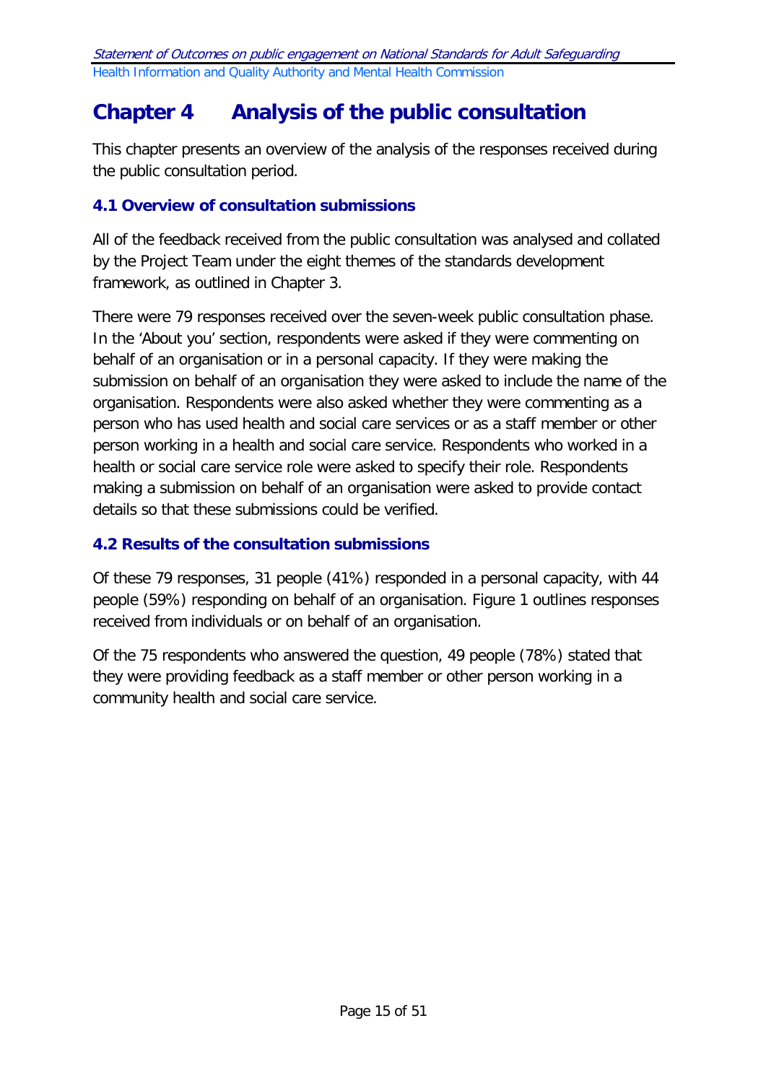# <span id="page-14-0"></span>**Chapter 4 Analysis of the public consultation**

This chapter presents an overview of the analysis of the responses received during the public consultation period.

## <span id="page-14-1"></span>**4.1 Overview of consultation submissions**

All of the feedback received from the public consultation was analysed and collated by the Project Team under the eight themes of the standards development framework, as outlined in Chapter 3.

There were 79 responses received over the seven-week public consultation phase. In the 'About you' section, respondents were asked if they were commenting on behalf of an organisation or in a personal capacity. If they were making the submission on behalf of an organisation they were asked to include the name of the organisation. Respondents were also asked whether they were commenting as a person who has used health and social care services or as a staff member or other person working in a health and social care service. Respondents who worked in a health or social care service role were asked to specify their role. Respondents making a submission on behalf of an organisation were asked to provide contact details so that these submissions could be verified.

## <span id="page-14-2"></span>**4.2 Results of the consultation submissions**

Of these 79 responses, 31 people (41%) responded in a personal capacity, with 44 people (59%) responding on behalf of an organisation. Figure 1 outlines responses received from individuals or on behalf of an organisation.

Of the 75 respondents who answered the question, 49 people (78%) stated that they were providing feedback as a staff member or other person working in a community health and social care service.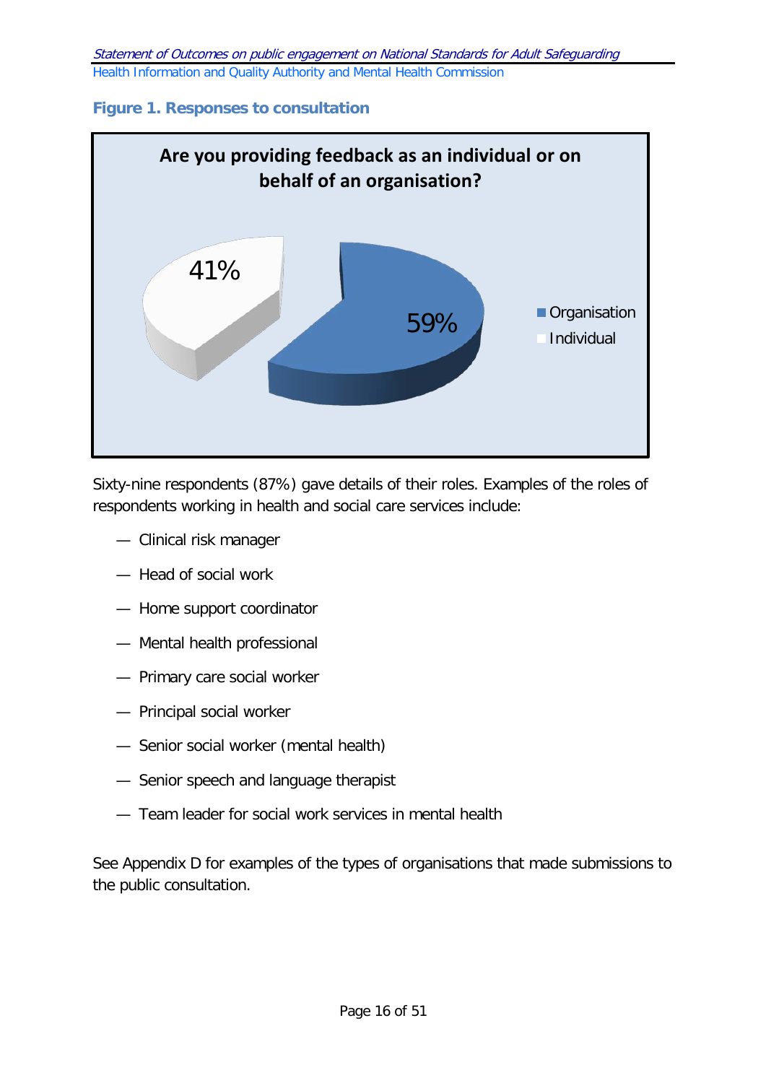## **Figure 1. Responses to consultation**



Sixty-nine respondents (87%) gave details of their roles. Examples of the roles of respondents working in health and social care services include:

- Clinical risk manager
- Head of social work
- Home support coordinator
- Mental health professional
- Primary care social worker
- Principal social worker
- Senior social worker (mental health)
- Senior speech and language therapist
- Team leader for social work services in mental health

See Appendix D for examples of the types of organisations that made submissions to the public consultation.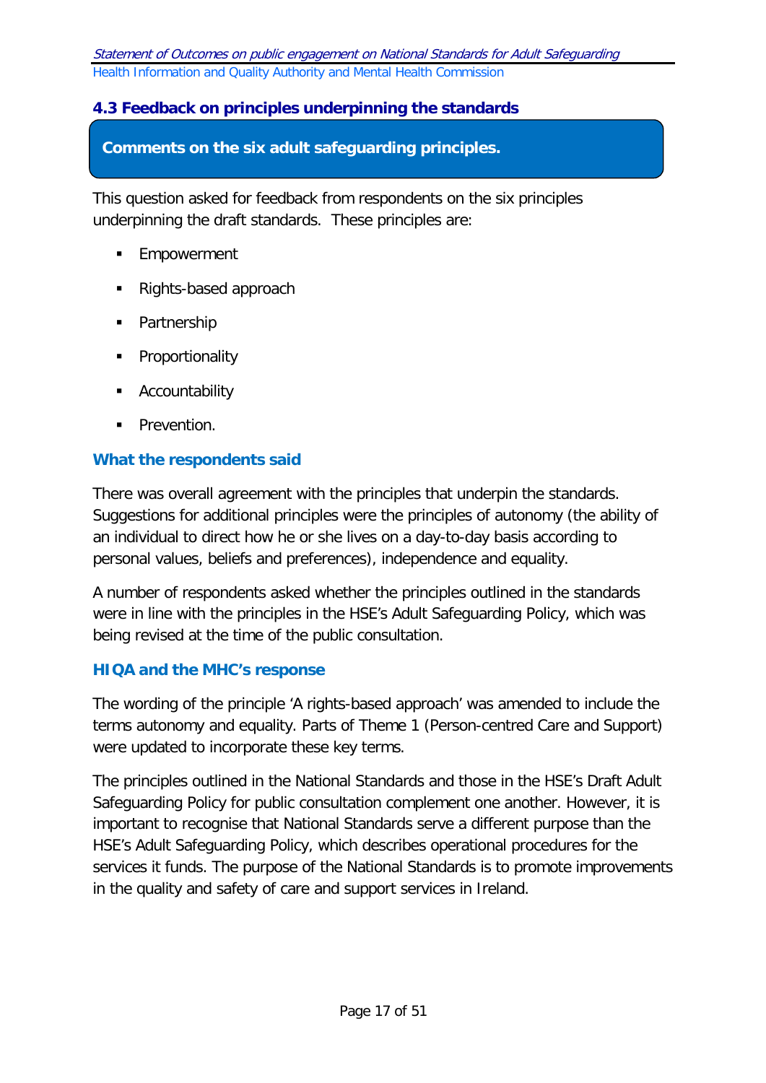# <span id="page-16-0"></span>**4.3 Feedback on principles underpinning the standards**

#### **Comments on the six adult safeguarding principles.**

This question asked for feedback from respondents on the six principles underpinning the draft standards. These principles are:

- **Empowerment**
- Rights-based approach
- Partnership
- **•** Proportionality
- **Accountability**
- **Prevention.**

#### **What the respondents said**

There was overall agreement with the principles that underpin the standards. Suggestions for additional principles were the principles of autonomy (the ability of an individual to direct how he or she lives on a day-to-day basis according to personal values, beliefs and preferences), independence and equality.

A number of respondents asked whether the principles outlined in the standards were in line with the principles in the HSE's Adult Safeguarding Policy, which was being revised at the time of the public consultation.

#### **HIQA and the MHC's response**

The wording of the principle 'A rights-based approach' was amended to include the terms autonomy and equality. Parts of Theme 1 (Person-centred Care and Support) were updated to incorporate these key terms.

The principles outlined in the National Standards and those in the HSE's Draft Adult Safeguarding Policy for public consultation complement one another. However, it is important to recognise that National Standards serve a different purpose than the HSE's Adult Safeguarding Policy, which describes operational procedures for the services it funds. The purpose of the National Standards is to promote improvements in the quality and safety of care and support services in Ireland.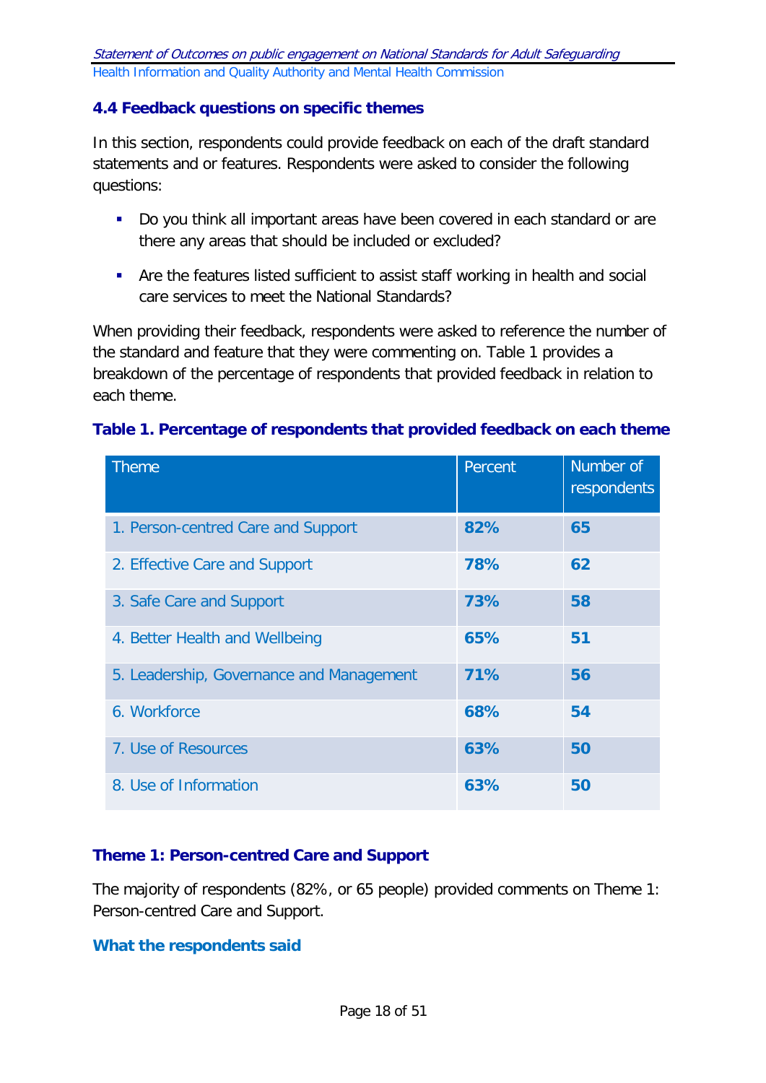## <span id="page-17-0"></span>**4.4 Feedback questions on specific themes**

In this section, respondents could provide feedback on each of the draft standard statements and or features. Respondents were asked to consider the following questions:

- Do you think all important areas have been covered in each standard or are there any areas that should be included or excluded?
- Are the features listed sufficient to assist staff working in health and social care services to meet the National Standards?

When providing their feedback, respondents were asked to reference the number of the standard and feature that they were commenting on. Table 1 provides a breakdown of the percentage of respondents that provided feedback in relation to each theme.

#### **Table 1. Percentage of respondents that provided feedback on each theme**

| <b>Theme</b>                             | Percent | Number of<br>respondents |
|------------------------------------------|---------|--------------------------|
| 1. Person-centred Care and Support       | 82%     | 65                       |
| 2. Effective Care and Support            | 78%     | 62                       |
| 3. Safe Care and Support                 | 73%     | 58                       |
| 4. Better Health and Wellbeing           | 65%     | 51                       |
| 5. Leadership, Governance and Management | 71%     | 56                       |
| 6. Workforce                             | 68%     | 54                       |
| 7. Use of Resources                      | 63%     | 50                       |
| 8. Use of Information                    | 63%     | 50                       |

#### <span id="page-17-1"></span>**Theme 1: Person-centred Care and Support**

The majority of respondents (82%, or 65 people) provided comments on Theme 1: Person-centred Care and Support.

#### **What the respondents said**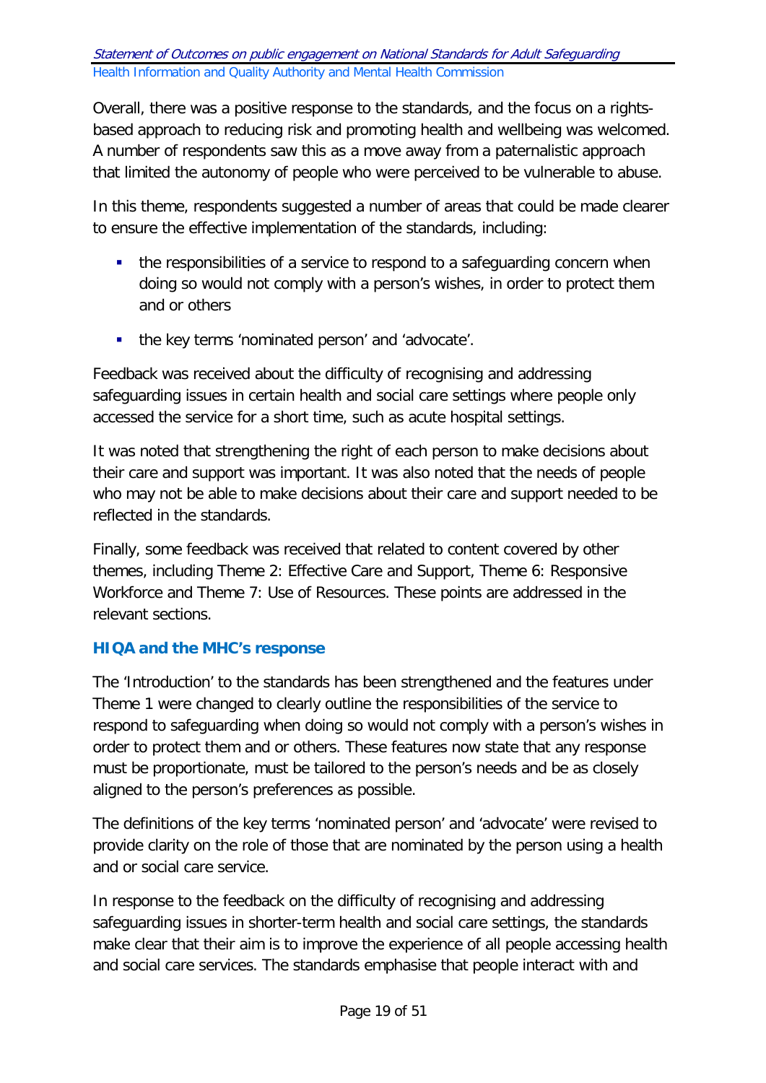Overall, there was a positive response to the standards, and the focus on a rightsbased approach to reducing risk and promoting health and wellbeing was welcomed. A number of respondents saw this as a move away from a paternalistic approach that limited the autonomy of people who were perceived to be vulnerable to abuse.

In this theme, respondents suggested a number of areas that could be made clearer to ensure the effective implementation of the standards, including:

- the responsibilities of a service to respond to a safeguarding concern when doing so would not comply with a person's wishes, in order to protect them and or others
- the key terms 'nominated person' and 'advocate'.

Feedback was received about the difficulty of recognising and addressing safeguarding issues in certain health and social care settings where people only accessed the service for a short time, such as acute hospital settings.

It was noted that strengthening the right of each person to make decisions about their care and support was important. It was also noted that the needs of people who may not be able to make decisions about their care and support needed to be reflected in the standards.

Finally, some feedback was received that related to content covered by other themes, including Theme 2: Effective Care and Support, Theme 6: Responsive Workforce and Theme 7: Use of Resources. These points are addressed in the relevant sections.

# **HIQA and the MHC's response**

The 'Introduction' to the standards has been strengthened and the features under Theme 1 were changed to clearly outline the responsibilities of the service to respond to safeguarding when doing so would not comply with a person's wishes in order to protect them and or others. These features now state that any response must be proportionate, must be tailored to the person's needs and be as closely aligned to the person's preferences as possible.

The definitions of the key terms 'nominated person' and 'advocate' were revised to provide clarity on the role of those that are nominated by the person using a health and or social care service.

In response to the feedback on the difficulty of recognising and addressing safeguarding issues in shorter-term health and social care settings, the standards make clear that their aim is to improve the experience of all people accessing health and social care services. The standards emphasise that people interact with and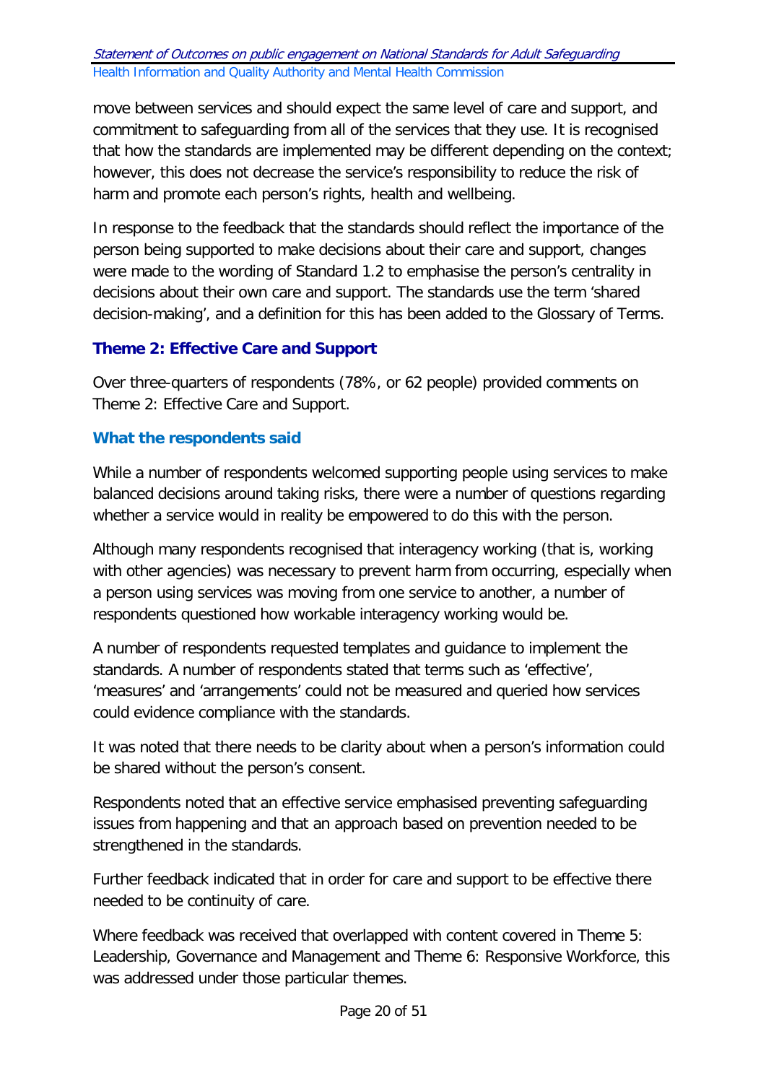move between services and should expect the same level of care and support, and commitment to safeguarding from all of the services that they use. It is recognised that how the standards are implemented may be different depending on the context; however, this does not decrease the service's responsibility to reduce the risk of harm and promote each person's rights, health and wellbeing.

In response to the feedback that the standards should reflect the importance of the person being supported to make decisions about their care and support, changes were made to the wording of Standard 1.2 to emphasise the person's centrality in decisions about their own care and support. The standards use the term 'shared decision-making', and a definition for this has been added to the Glossary of Terms.

# <span id="page-19-0"></span>**Theme 2: Effective Care and Support**

Over three-quarters of respondents (78%, or 62 people) provided comments on Theme 2: Effective Care and Support.

### **What the respondents said**

While a number of respondents welcomed supporting people using services to make balanced decisions around taking risks, there were a number of questions regarding whether a service would in reality be empowered to do this with the person.

Although many respondents recognised that interagency working (that is, working with other agencies) was necessary to prevent harm from occurring, especially when a person using services was moving from one service to another, a number of respondents questioned how workable interagency working would be.

A number of respondents requested templates and guidance to implement the standards. A number of respondents stated that terms such as 'effective', 'measures' and 'arrangements' could not be measured and queried how services could evidence compliance with the standards.

It was noted that there needs to be clarity about when a person's information could be shared without the person's consent.

Respondents noted that an effective service emphasised preventing safeguarding issues from happening and that an approach based on prevention needed to be strengthened in the standards.

Further feedback indicated that in order for care and support to be effective there needed to be continuity of care.

Where feedback was received that overlapped with content covered in Theme 5: Leadership, Governance and Management and Theme 6: Responsive Workforce, this was addressed under those particular themes.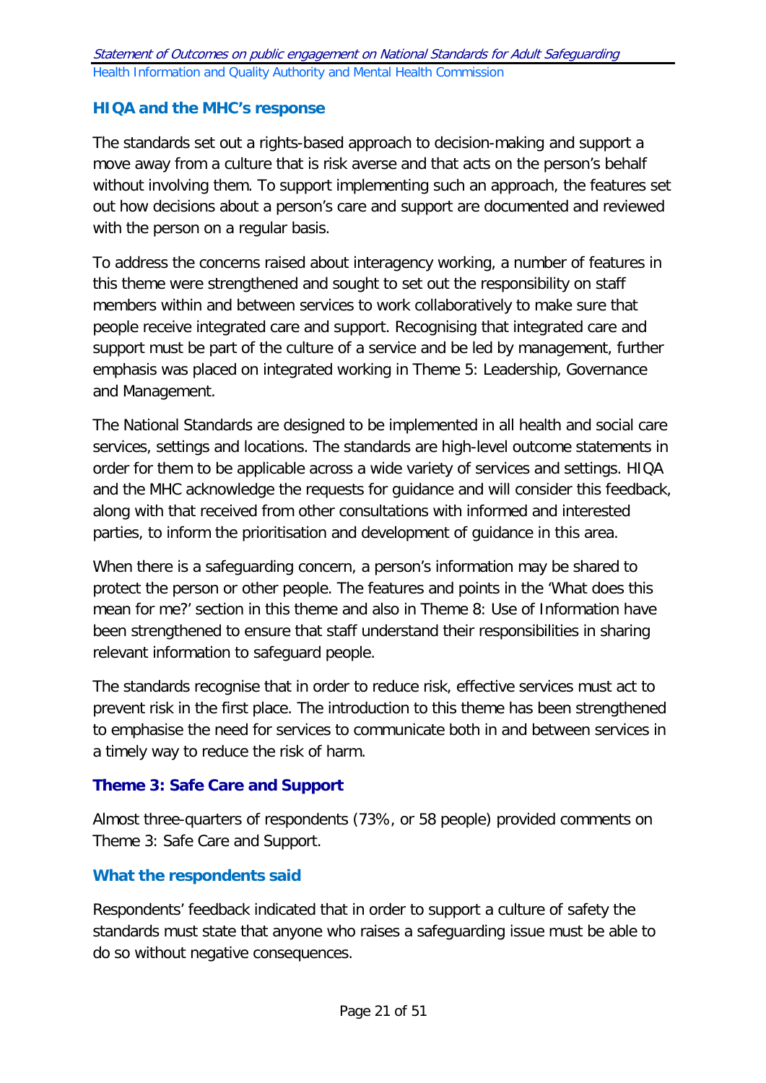### **HIQA and the MHC's response**

The standards set out a rights-based approach to decision-making and support a move away from a culture that is risk averse and that acts on the person's behalf without involving them. To support implementing such an approach, the features set out how decisions about a person's care and support are documented and reviewed with the person on a regular basis.

To address the concerns raised about interagency working, a number of features in this theme were strengthened and sought to set out the responsibility on staff members within and between services to work collaboratively to make sure that people receive integrated care and support. Recognising that integrated care and support must be part of the culture of a service and be led by management, further emphasis was placed on integrated working in Theme 5: Leadership, Governance and Management.

The National Standards are designed to be implemented in all health and social care services, settings and locations. The standards are high-level outcome statements in order for them to be applicable across a wide variety of services and settings. HIQA and the MHC acknowledge the requests for guidance and will consider this feedback, along with that received from other consultations with informed and interested parties, to inform the prioritisation and development of guidance in this area.

When there is a safeguarding concern, a person's information may be shared to protect the person or other people. The features and points in the 'What does this mean for me?' section in this theme and also in Theme 8: Use of Information have been strengthened to ensure that staff understand their responsibilities in sharing relevant information to safeguard people.

The standards recognise that in order to reduce risk, effective services must act to prevent risk in the first place. The introduction to this theme has been strengthened to emphasise the need for services to communicate both in and between services in a timely way to reduce the risk of harm.

#### **Theme 3: Safe Care and Support**

Almost three-quarters of respondents (73%, or 58 people) provided comments on Theme 3: Safe Care and Support.

#### **What the respondents said**

Respondents' feedback indicated that in order to support a culture of safety the standards must state that anyone who raises a safeguarding issue must be able to do so without negative consequences.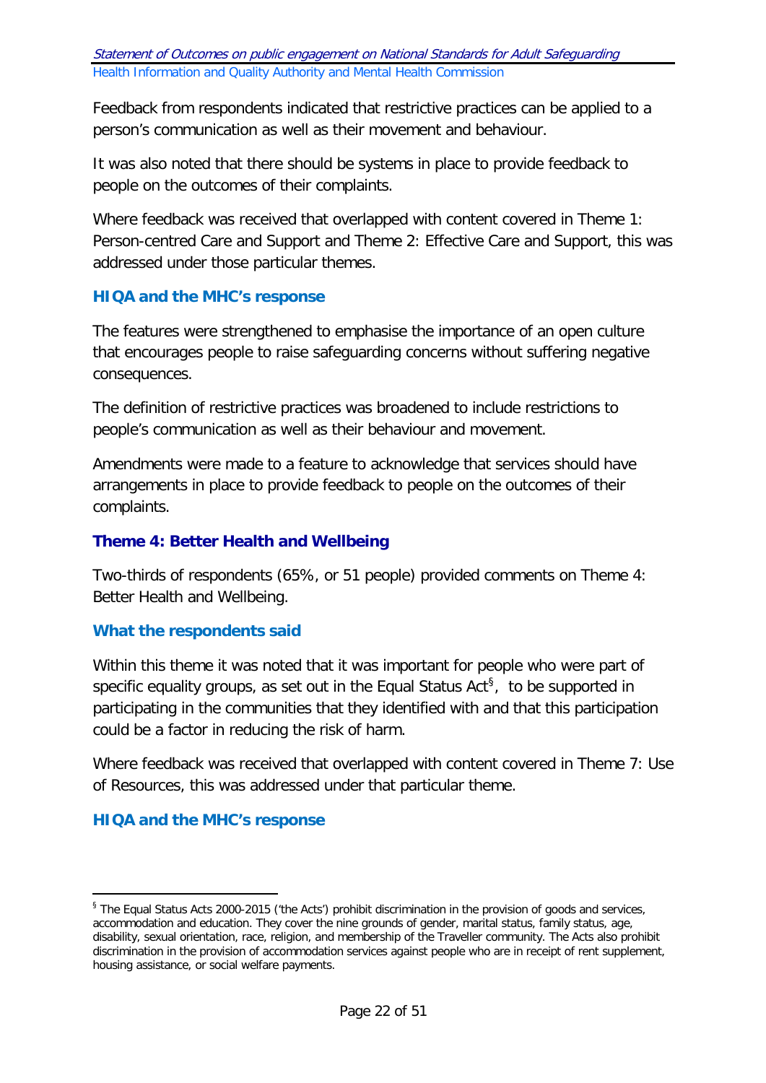Feedback from respondents indicated that restrictive practices can be applied to a person's communication as well as their movement and behaviour.

It was also noted that there should be systems in place to provide feedback to people on the outcomes of their complaints.

Where feedback was received that overlapped with content covered in Theme 1: Person-centred Care and Support and Theme 2: Effective Care and Support, this was addressed under those particular themes.

### **HIQA and the MHC's response**

The features were strengthened to emphasise the importance of an open culture that encourages people to raise safeguarding concerns without suffering negative consequences.

The definition of restrictive practices was broadened to include restrictions to people's communication as well as their behaviour and movement.

Amendments were made to a feature to acknowledge that services should have arrangements in place to provide feedback to people on the outcomes of their complaints.

#### **Theme 4: Better Health and Wellbeing**

Two-thirds of respondents (65%, or 51 people) provided comments on Theme 4: Better Health and Wellbeing.

#### **What the respondents said**

Within this theme it was noted that it was important for people who were part of specific equality groups, as set out in the Equal Status Act<sup>[§](#page-21-0)</sup>, to be supported in participating in the communities that they identified with and that this participation could be a factor in reducing the risk of harm.

Where feedback was received that overlapped with content covered in Theme 7: Use of Resources, this was addressed under that particular theme.

#### **HIQA and the MHC's response**

-

<span id="page-21-0"></span><sup>§</sup> The Equal Status Acts 2000-2015 ('the Acts') prohibit discrimination in the provision of goods and services, accommodation and education. They cover the nine grounds of gender, marital status, family status, age, disability, sexual orientation, race, religion, and membership of the Traveller community. The Acts also prohibit discrimination in the provision of accommodation services against people who are in receipt of rent supplement, housing assistance, or social welfare payments.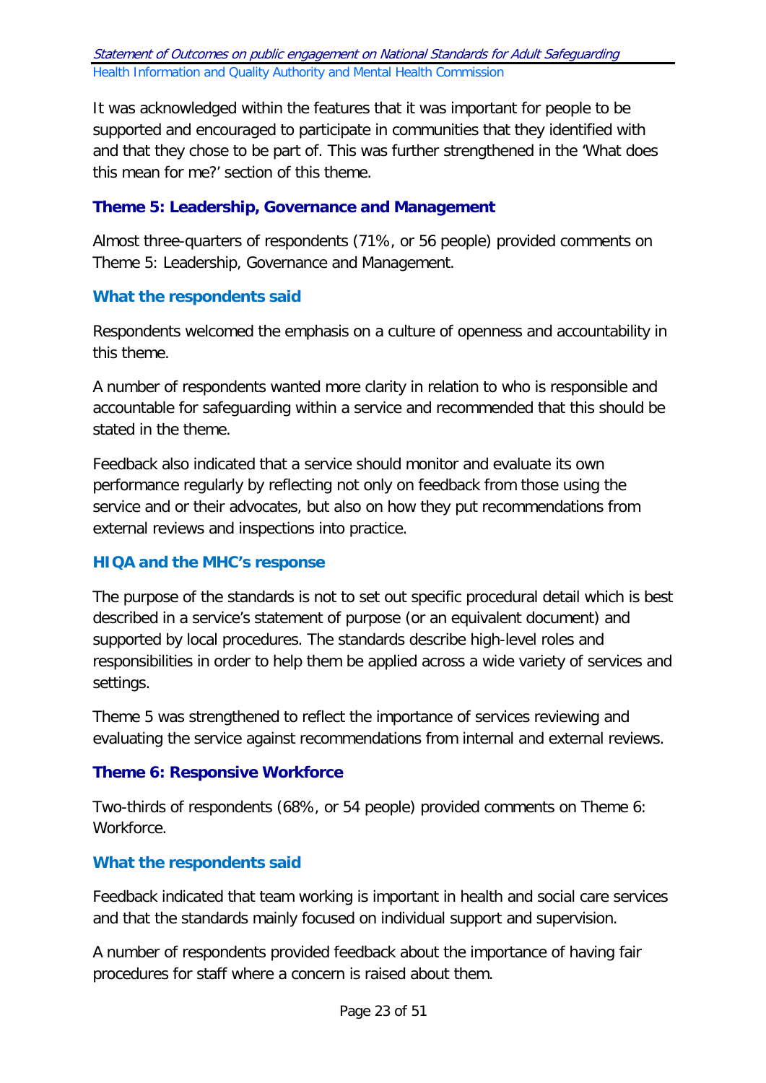It was acknowledged within the features that it was important for people to be supported and encouraged to participate in communities that they identified with and that they chose to be part of. This was further strengthened in the 'What does this mean for me?' section of this theme.

## **Theme 5: Leadership, Governance and Management**

Almost three-quarters of respondents (71%, or 56 people) provided comments on Theme 5: Leadership, Governance and Management.

### **What the respondents said**

Respondents welcomed the emphasis on a culture of openness and accountability in this theme.

A number of respondents wanted more clarity in relation to who is responsible and accountable for safeguarding within a service and recommended that this should be stated in the theme.

Feedback also indicated that a service should monitor and evaluate its own performance regularly by reflecting not only on feedback from those using the service and or their advocates, but also on how they put recommendations from external reviews and inspections into practice.

#### **HIQA and the MHC's response**

The purpose of the standards is not to set out specific procedural detail which is best described in a service's statement of purpose (or an equivalent document) and supported by local procedures. The standards describe high-level roles and responsibilities in order to help them be applied across a wide variety of services and settings.

Theme 5 was strengthened to reflect the importance of services reviewing and evaluating the service against recommendations from internal and external reviews.

#### **Theme 6: Responsive Workforce**

Two-thirds of respondents (68%, or 54 people) provided comments on Theme 6: Workforce.

# **What the respondents said**

Feedback indicated that team working is important in health and social care services and that the standards mainly focused on individual support and supervision.

A number of respondents provided feedback about the importance of having fair procedures for staff where a concern is raised about them.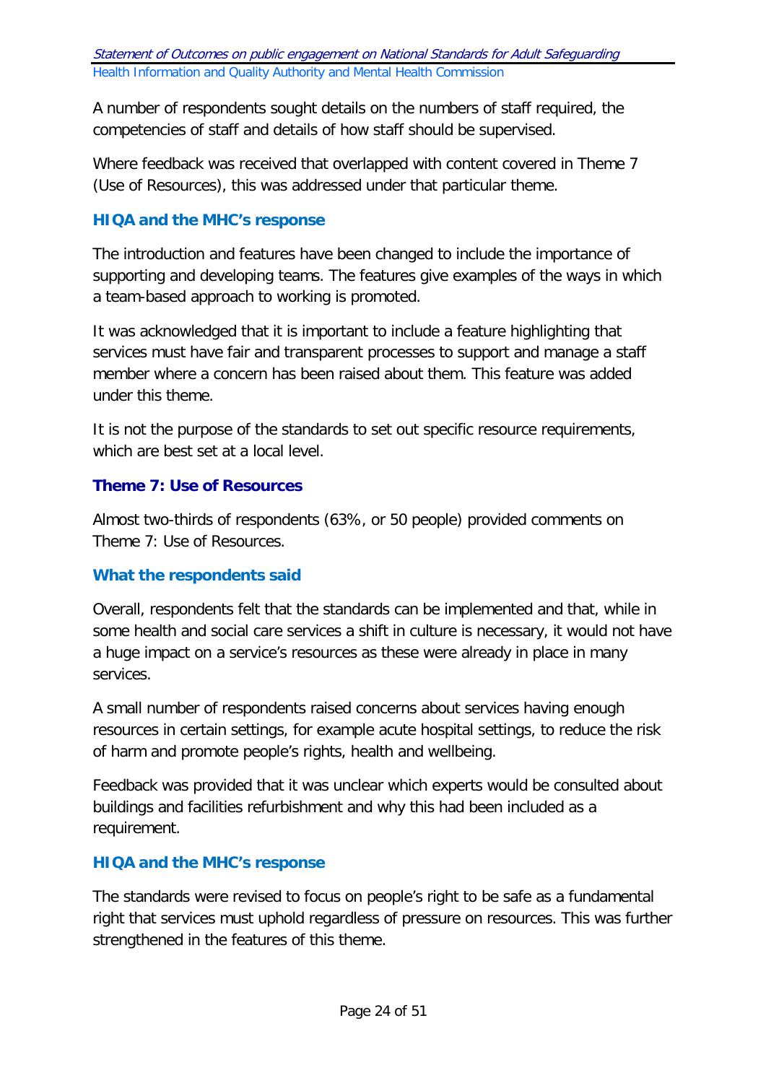A number of respondents sought details on the numbers of staff required, the competencies of staff and details of how staff should be supervised.

Where feedback was received that overlapped with content covered in Theme 7 (Use of Resources), this was addressed under that particular theme.

## **HIQA and the MHC's response**

The introduction and features have been changed to include the importance of supporting and developing teams. The features give examples of the ways in which a team-based approach to working is promoted.

It was acknowledged that it is important to include a feature highlighting that services must have fair and transparent processes to support and manage a staff member where a concern has been raised about them. This feature was added under this theme.

It is not the purpose of the standards to set out specific resource requirements, which are best set at a local level.

### **Theme 7: Use of Resources**

Almost two-thirds of respondents (63%, or 50 people) provided comments on Theme 7: Use of Resources.

#### **What the respondents said**

Overall, respondents felt that the standards can be implemented and that, while in some health and social care services a shift in culture is necessary, it would not have a huge impact on a service's resources as these were already in place in many services.

A small number of respondents raised concerns about services having enough resources in certain settings, for example acute hospital settings, to reduce the risk of harm and promote people's rights, health and wellbeing.

Feedback was provided that it was unclear which experts would be consulted about buildings and facilities refurbishment and why this had been included as a requirement.

#### **HIQA and the MHC's response**

The standards were revised to focus on people's right to be safe as a fundamental right that services must uphold regardless of pressure on resources. This was further strengthened in the features of this theme.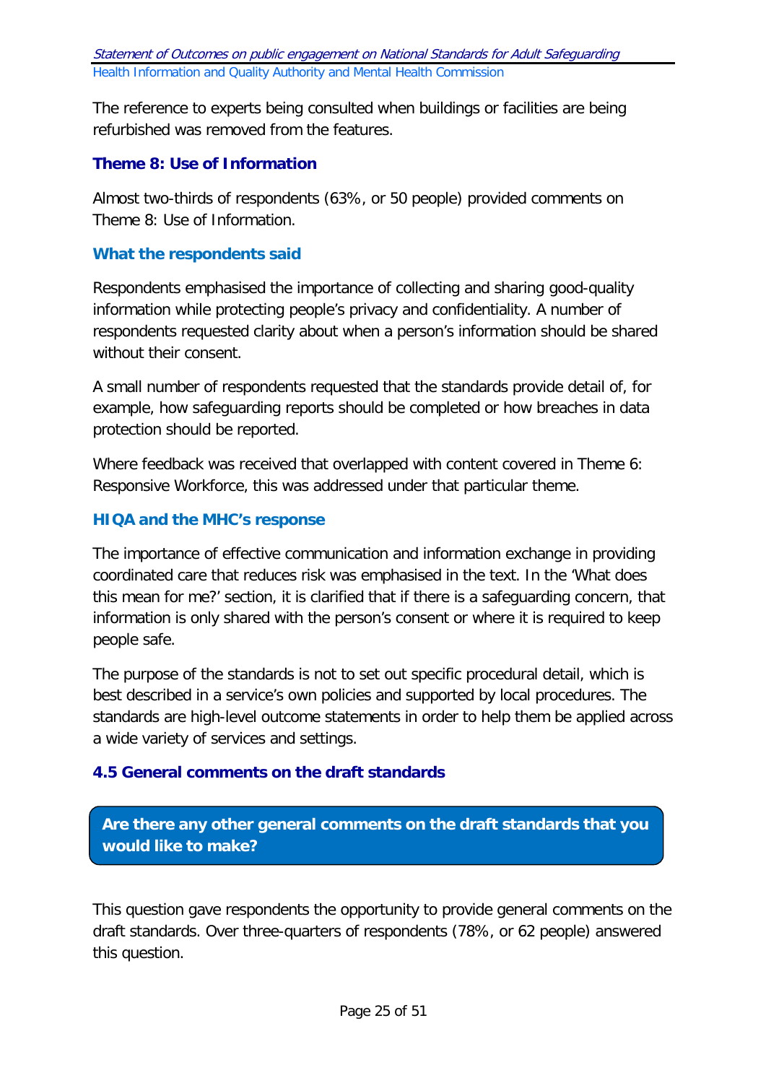The reference to experts being consulted when buildings or facilities are being refurbished was removed from the features.

# **Theme 8: Use of Information**

Almost two-thirds of respondents (63%, or 50 people) provided comments on Theme 8: Use of Information.

#### **What the respondents said**

Respondents emphasised the importance of collecting and sharing good-quality information while protecting people's privacy and confidentiality. A number of respondents requested clarity about when a person's information should be shared without their consent.

A small number of respondents requested that the standards provide detail of, for example, how safeguarding reports should be completed or how breaches in data protection should be reported.

Where feedback was received that overlapped with content covered in Theme 6: Responsive Workforce, this was addressed under that particular theme.

### **HIQA and the MHC's response**

The importance of effective communication and information exchange in providing coordinated care that reduces risk was emphasised in the text. In the 'What does this mean for me?' section, it is clarified that if there is a safeguarding concern, that information is only shared with the person's consent or where it is required to keep people safe.

The purpose of the standards is not to set out specific procedural detail, which is best described in a service's own policies and supported by local procedures. The standards are high-level outcome statements in order to help them be applied across a wide variety of services and settings.

# <span id="page-24-0"></span>**4.5 General comments on the draft standards**

**Are there any other general comments on the draft standards that you would like to make?**

This question gave respondents the opportunity to provide general comments on the draft standards. Over three-quarters of respondents (78%, or 62 people) answered this question.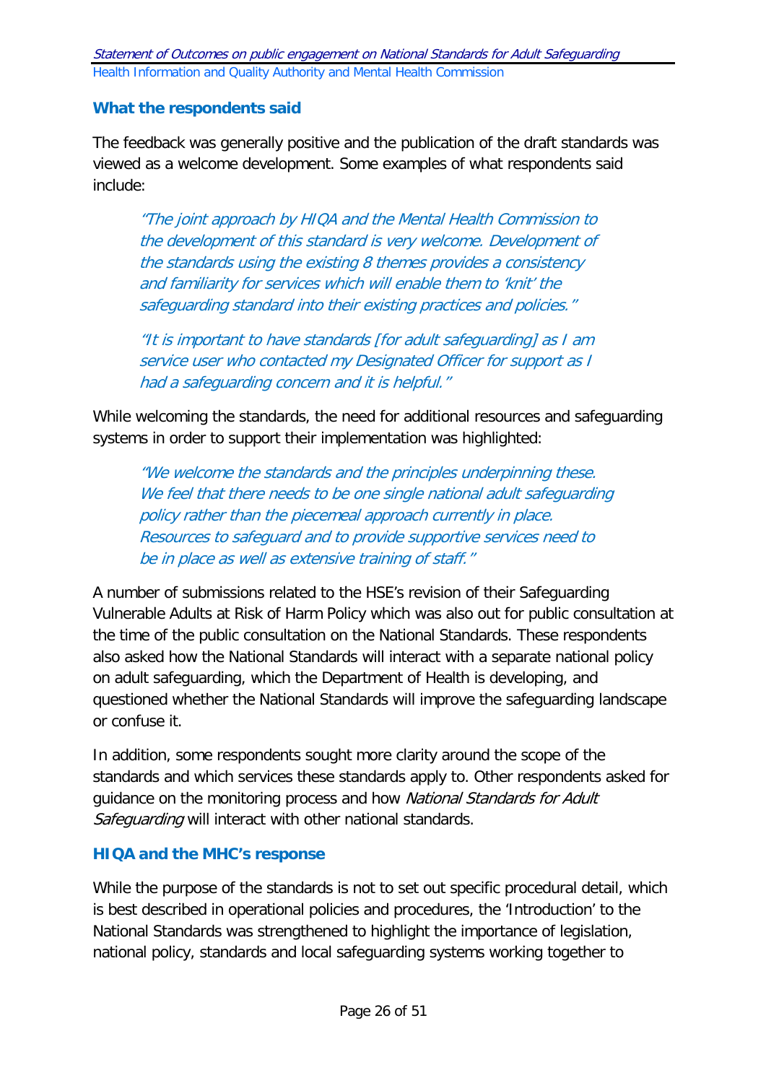### **What the respondents said**

The feedback was generally positive and the publication of the draft standards was viewed as a welcome development. Some examples of what respondents said include:

"The joint approach by HIQA and the Mental Health Commission to the development of this standard is very welcome. Development of the standards using the existing 8 themes provides a consistency and familiarity for services which will enable them to 'knit' the safeguarding standard into their existing practices and policies."

"It is important to have standards [for adult safeguarding] as I am service user who contacted my Designated Officer for support as I had a safeguarding concern and it is helpful."

While welcoming the standards, the need for additional resources and safeguarding systems in order to support their implementation was highlighted:

"We welcome the standards and the principles underpinning these. We feel that there needs to be one single national adult safeguarding policy rather than the piecemeal approach currently in place. Resources to safeguard and to provide supportive services need to be in place as well as extensive training of staff."

A number of submissions related to the HSE's revision of their Safeguarding Vulnerable Adults at Risk of Harm Policy which was also out for public consultation at the time of the public consultation on the National Standards. These respondents also asked how the National Standards will interact with a separate national policy on adult safeguarding, which the Department of Health is developing, and questioned whether the National Standards will improve the safeguarding landscape or confuse it.

In addition, some respondents sought more clarity around the scope of the standards and which services these standards apply to. Other respondents asked for guidance on the monitoring process and how National Standards for Adult Safeguarding will interact with other national standards.

#### **HIQA and the MHC's response**

While the purpose of the standards is not to set out specific procedural detail, which is best described in operational policies and procedures, the 'Introduction' to the National Standards was strengthened to highlight the importance of legislation, national policy, standards and local safeguarding systems working together to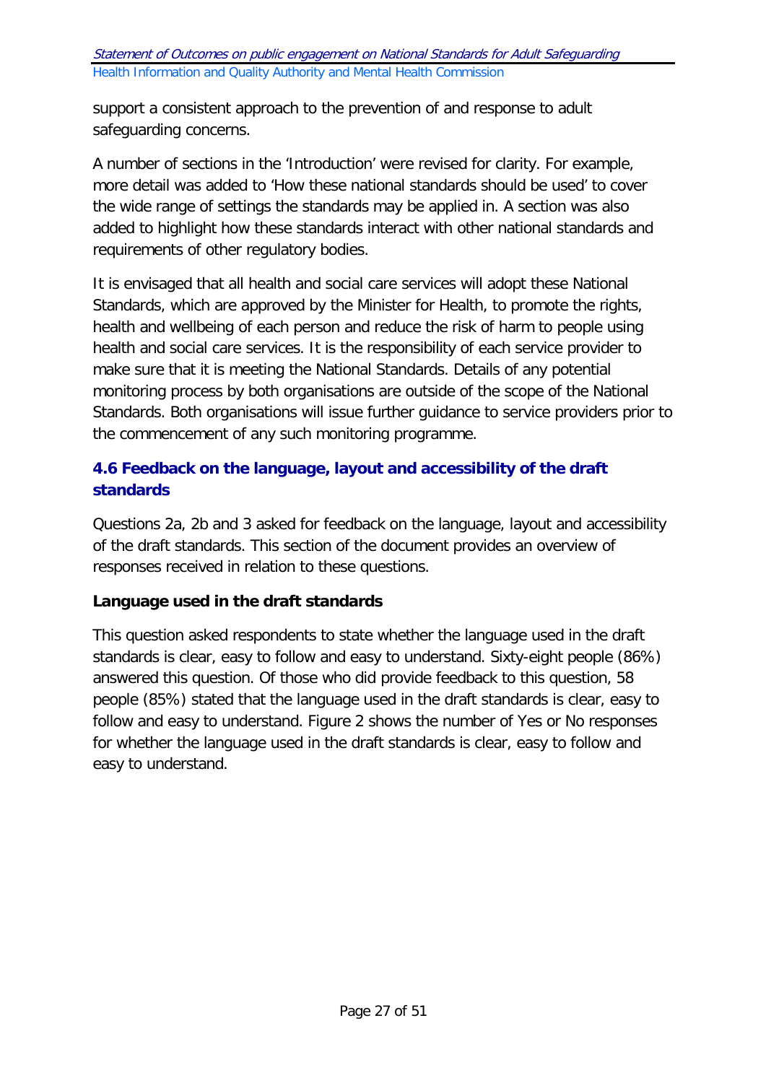support a consistent approach to the prevention of and response to adult safeguarding concerns.

A number of sections in the 'Introduction' were revised for clarity. For example, more detail was added to 'How these national standards should be used' to cover the wide range of settings the standards may be applied in. A section was also added to highlight how these standards interact with other national standards and requirements of other regulatory bodies.

It is envisaged that all health and social care services will adopt these National Standards, which are approved by the Minister for Health, to promote the rights, health and wellbeing of each person and reduce the risk of harm to people using health and social care services. It is the responsibility of each service provider to make sure that it is meeting the National Standards. Details of any potential monitoring process by both organisations are outside of the scope of the National Standards. Both organisations will issue further guidance to service providers prior to the commencement of any such monitoring programme.

# <span id="page-26-0"></span>**4.6 Feedback on the language, layout and accessibility of the draft standards**

Questions 2a, 2b and 3 asked for feedback on the language, layout and accessibility of the draft standards. This section of the document provides an overview of responses received in relation to these questions.

# **Language used in the draft standards**

This question asked respondents to state whether the language used in the draft standards is clear, easy to follow and easy to understand. Sixty-eight people (86%) answered this question. Of those who did provide feedback to this question, 58 people (85%) stated that the language used in the draft standards is clear, easy to follow and easy to understand. Figure 2 shows the number of Yes or No responses for whether the language used in the draft standards is clear, easy to follow and easy to understand.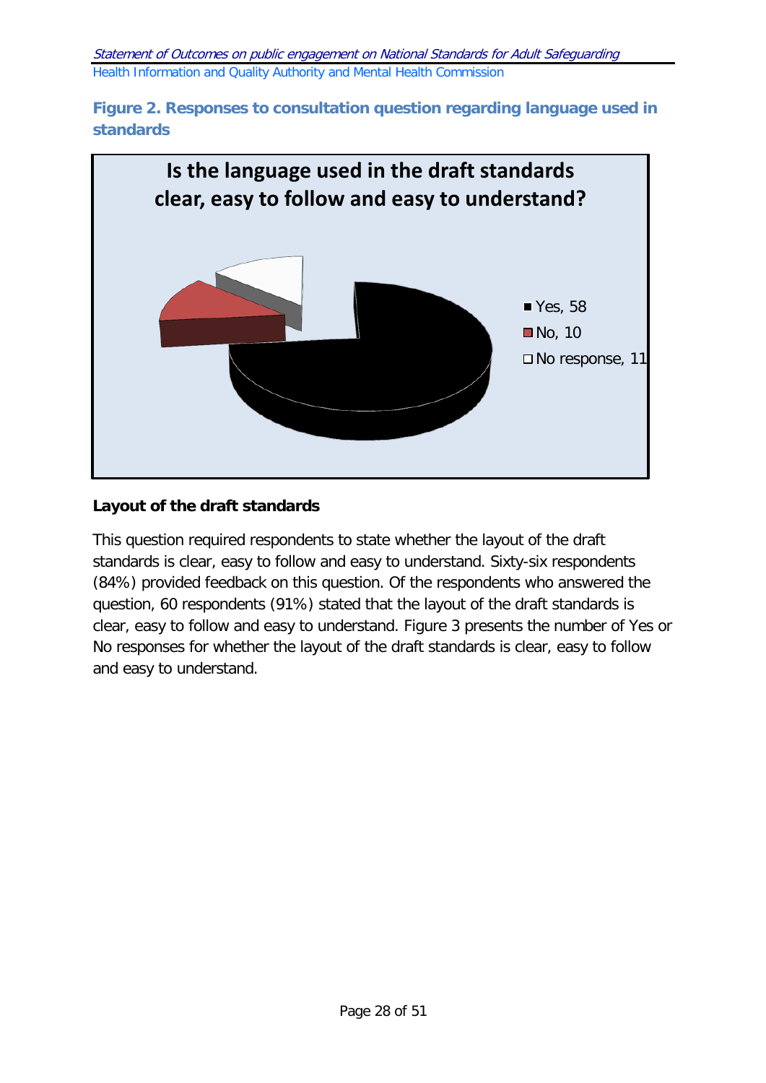



### **Layout of the draft standards**

This question required respondents to state whether the layout of the draft standards is clear, easy to follow and easy to understand. Sixty-six respondents (84%) provided feedback on this question. Of the respondents who answered the question, 60 respondents (91%) stated that the layout of the draft standards is clear, easy to follow and easy to understand. Figure 3 presents the number of Yes or No responses for whether the layout of the draft standards is clear, easy to follow and easy to understand.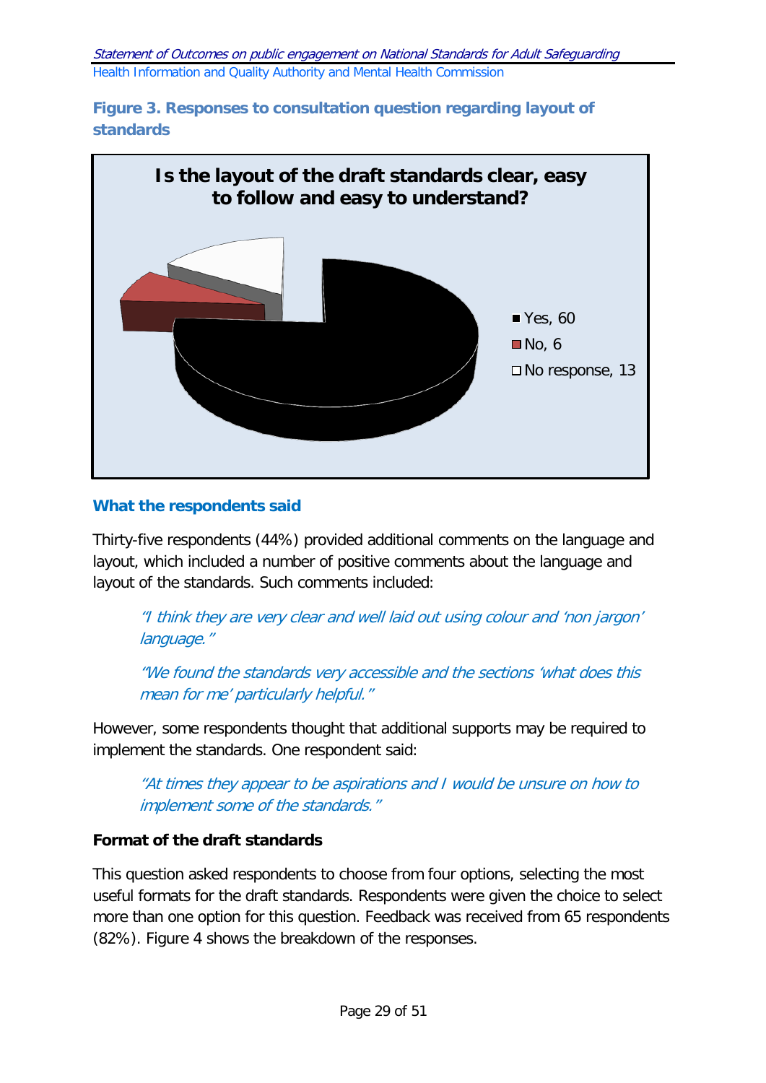**Figure 3. Responses to consultation question regarding layout of standards**



#### **What the respondents said**

Thirty-five respondents (44%) provided additional comments on the language and layout, which included a number of positive comments about the language and layout of the standards. Such comments included:

"I think they are very clear and well laid out using colour and 'non jargon' language."

"We found the standards very accessible and the sections 'what does this mean for me' particularly helpful."

However, some respondents thought that additional supports may be required to implement the standards. One respondent said:

"At times they appear to be aspirations and I would be unsure on how to implement some of the standards."

# **Format of the draft standards**

This question asked respondents to choose from four options, selecting the most useful formats for the draft standards. Respondents were given the choice to select more than one option for this question. Feedback was received from 65 respondents (82%). Figure 4 shows the breakdown of the responses.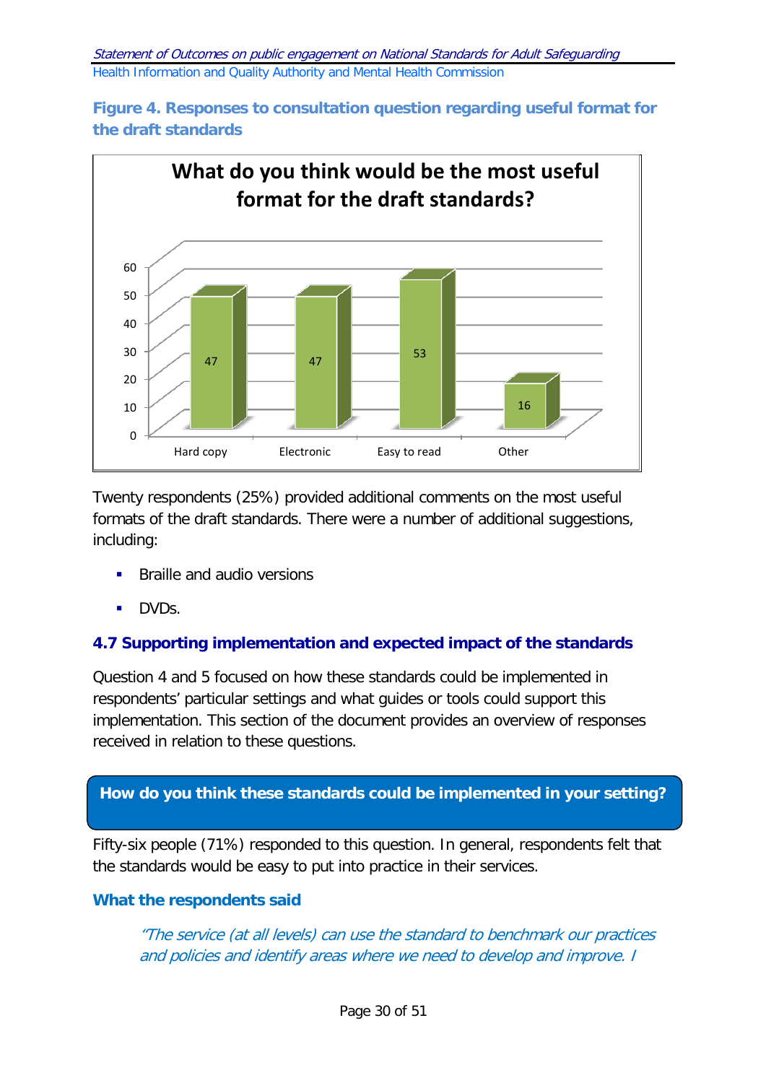



Twenty respondents (25%) provided additional comments on the most useful formats of the draft standards. There were a number of additional suggestions, including:

- **Braille and audio versions**
- **DVDs.**

# <span id="page-29-0"></span>**4.7 Supporting implementation and expected impact of the standards**

Question 4 and 5 focused on how these standards could be implemented in respondents' particular settings and what guides or tools could support this implementation. This section of the document provides an overview of responses received in relation to these questions.

# **How do you think these standards could be implemented in your setting?**

Fifty-six people (71%) responded to this question. In general, respondents felt that the standards would be easy to put into practice in their services.

#### **What the respondents said**

"The service (at all levels) can use the standard to benchmark our practices and policies and identify areas where we need to develop and improve. I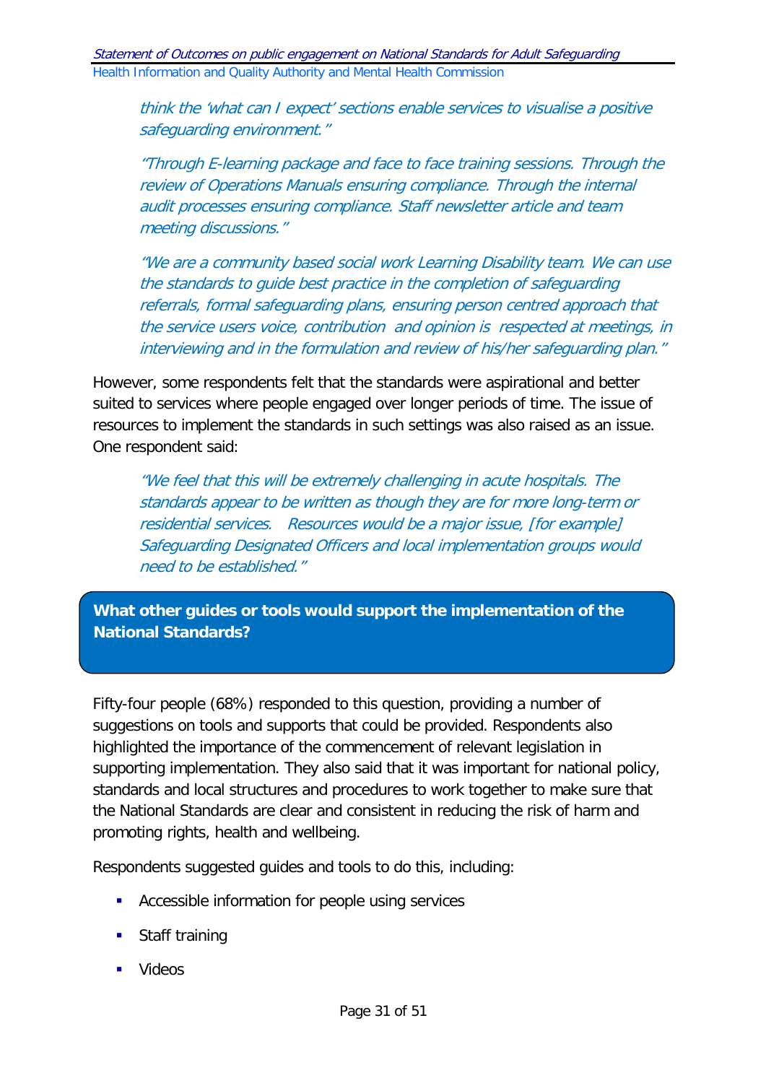think the 'what can I expect' sections enable services to visualise a positive safeguarding environment."

"Through E-learning package and face to face training sessions. Through the review of Operations Manuals ensuring compliance. Through the internal audit processes ensuring compliance. Staff newsletter article and team meeting discussions."

"We are a community based social work Learning Disability team. We can use the standards to guide best practice in the completion of safeguarding referrals, formal safeguarding plans, ensuring person centred approach that the service users voice, contribution and opinion is respected at meetings, in interviewing and in the formulation and review of his/her safeguarding plan."

However, some respondents felt that the standards were aspirational and better suited to services where people engaged over longer periods of time. The issue of resources to implement the standards in such settings was also raised as an issue. One respondent said:

"We feel that this will be extremely challenging in acute hospitals. The standards appear to be written as though they are for more long-term or residential services. Resources would be a major issue, [for example] Safeguarding Designated Officers and local implementation groups would need to be established."

**What other guides or tools would support the implementation of the National Standards?**

Fifty-four people (68%) responded to this question, providing a number of suggestions on tools and supports that could be provided. Respondents also highlighted the importance of the commencement of relevant legislation in supporting implementation. They also said that it was important for national policy, standards and local structures and procedures to work together to make sure that the National Standards are clear and consistent in reducing the risk of harm and promoting rights, health and wellbeing.

Respondents suggested guides and tools to do this, including:

- **Accessible information for people using services**
- **Staff training**
- **U** Videos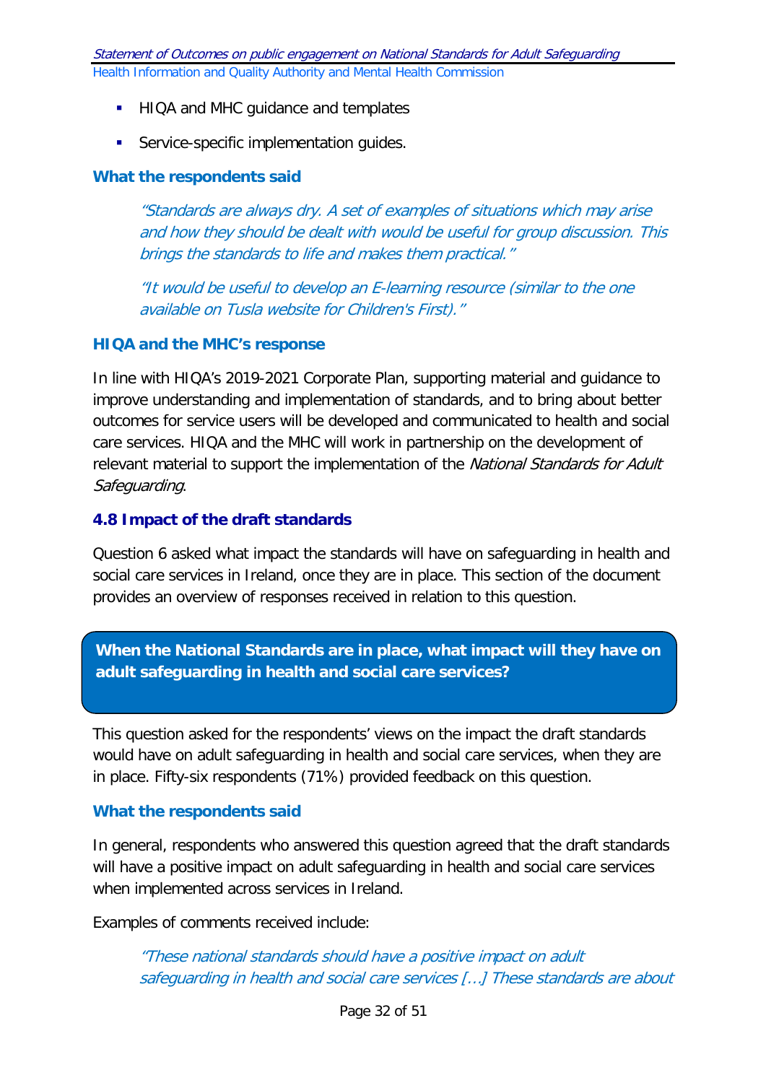- **HIQA and MHC guidance and templates**
- **Service-specific implementation guides.**

#### **What the respondents said**

"Standards are always dry. A set of examples of situations which may arise and how they should be dealt with would be useful for group discussion. This brings the standards to life and makes them practical."

"It would be useful to develop an E-learning resource (similar to the one available on Tusla website for Children's First)."

#### <span id="page-31-0"></span>**HIQA and the MHC's response**

In line with HIQA's 2019-2021 Corporate Plan, supporting material and guidance to improve understanding and implementation of standards, and to bring about better outcomes for service users will be developed and communicated to health and social care services. HIQA and the MHC will work in partnership on the development of relevant material to support the implementation of the National Standards for Adult Safeguarding.

#### **4.8 Impact of the draft standards**

Question 6 asked what impact the standards will have on safeguarding in health and social care services in Ireland, once they are in place. This section of the document provides an overview of responses received in relation to this question.

**When the National Standards are in place, what impact will they have on adult safeguarding in health and social care services?**

This question asked for the respondents' views on the impact the draft standards would have on adult safeguarding in health and social care services, when they are in place. Fifty-six respondents (71%) provided feedback on this question.

#### **What the respondents said**

In general, respondents who answered this question agreed that the draft standards will have a positive impact on adult safeguarding in health and social care services when implemented across services in Ireland.

Examples of comments received include:

"These national standards should have a positive impact on adult safeguarding in health and social care services […] These standards are about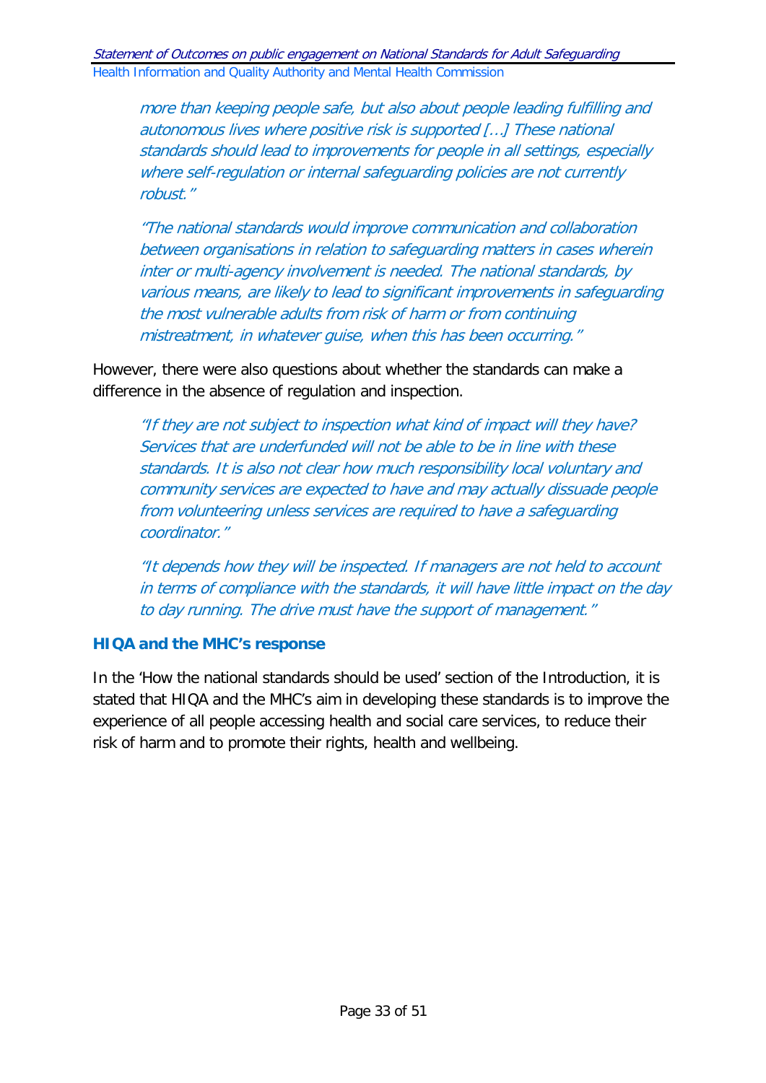more than keeping people safe, but also about people leading fulfilling and autonomous lives where positive risk is supported […] These national standards should lead to improvements for people in all settings, especially where self-regulation or internal safeguarding policies are not currently robust."

"The national standards would improve communication and collaboration between organisations in relation to safeguarding matters in cases wherein inter or multi-agency involvement is needed. The national standards, by various means, are likely to lead to significant improvements in safeguarding the most vulnerable adults from risk of harm or from continuing mistreatment, in whatever guise, when this has been occurring."

However, there were also questions about whether the standards can make a difference in the absence of regulation and inspection.

"If they are not subject to inspection what kind of impact will they have? Services that are underfunded will not be able to be in line with these standards. It is also not clear how much responsibility local voluntary and community services are expected to have and may actually dissuade people from volunteering unless services are required to have a safeguarding coordinator."

"It depends how they will be inspected. If managers are not held to account in terms of compliance with the standards, it will have little impact on the day to day running. The drive must have the support of management."

#### **HIQA and the MHC's response**

In the 'How the national standards should be used' section of the Introduction, it is stated that HIQA and the MHC's aim in developing these standards is to improve the experience of all people accessing health and social care services, to reduce their risk of harm and to promote their rights, health and wellbeing.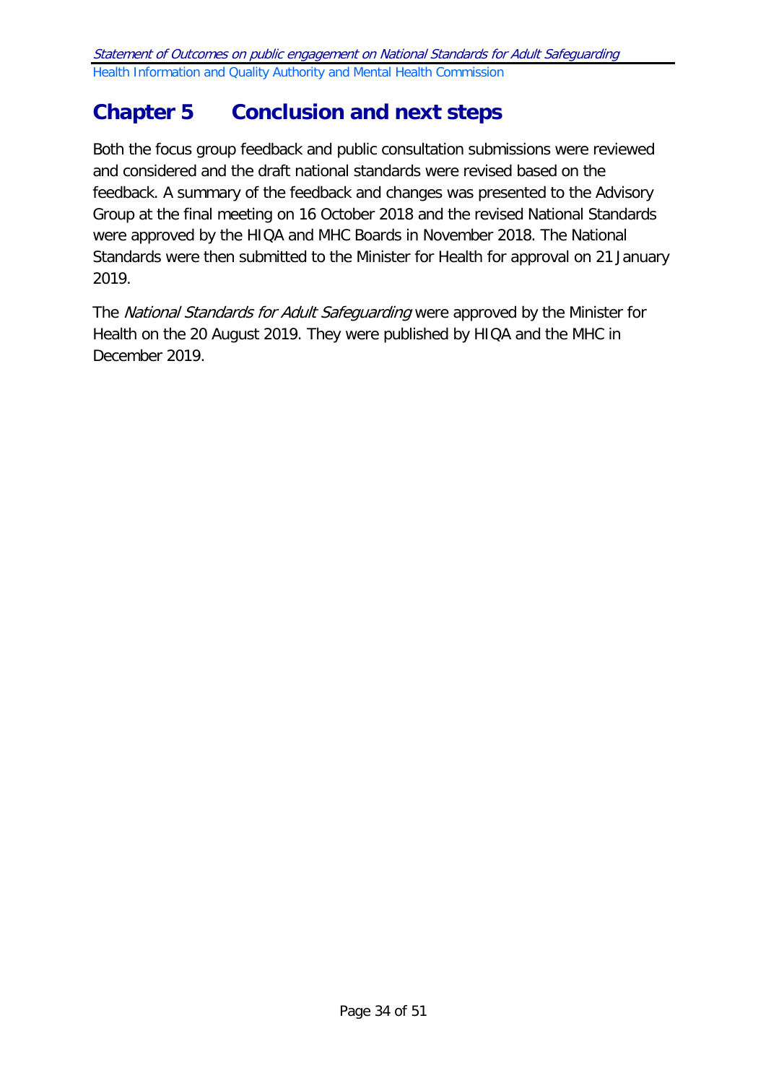# <span id="page-33-0"></span>**Chapter 5 Conclusion and next steps**

Both the focus group feedback and public consultation submissions were reviewed and considered and the draft national standards were revised based on the feedback. A summary of the feedback and changes was presented to the Advisory Group at the final meeting on 16 October 2018 and the revised National Standards were approved by the HIQA and MHC Boards in November 2018. The National Standards were then submitted to the Minister for Health for approval on 21 January 2019.

The National Standards for Adult Safeguarding were approved by the Minister for Health on the 20 August 2019. They were published by HIQA and the MHC in December 2019.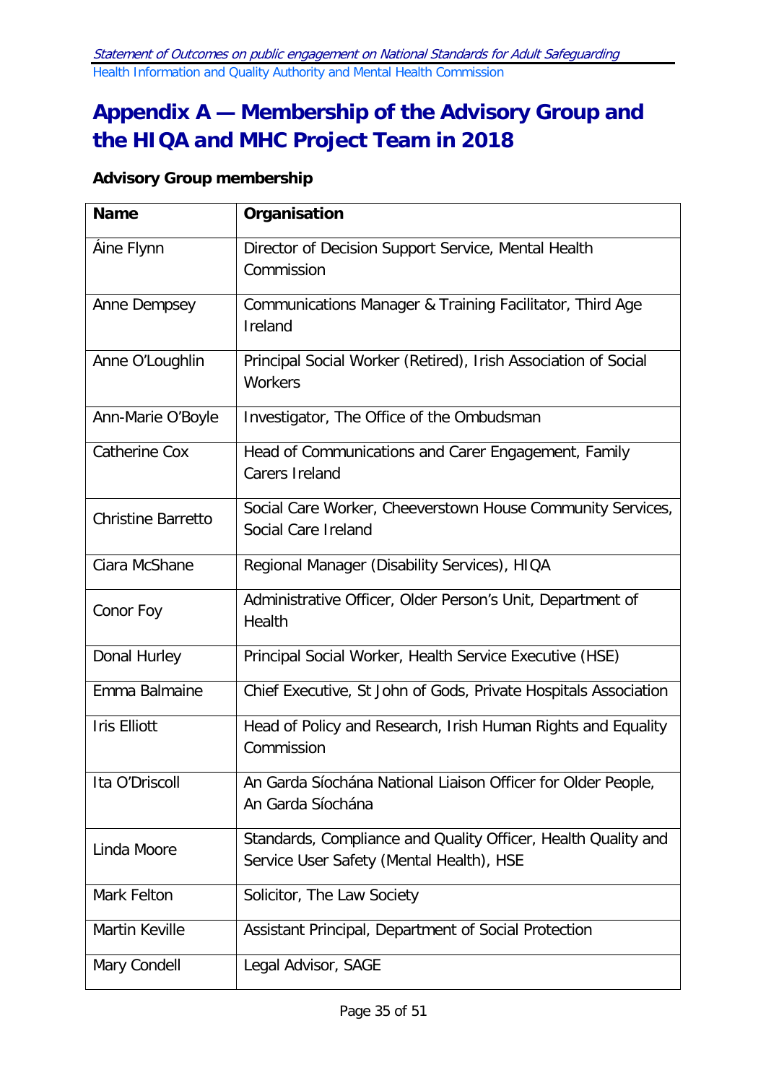# <span id="page-34-0"></span>**Appendix A — Membership of the Advisory Group and the HIQA and MHC Project Team in 2018**

# **Advisory Group membership**

| <b>Name</b>               | Organisation                                                                                              |
|---------------------------|-----------------------------------------------------------------------------------------------------------|
| Áine Flynn                | Director of Decision Support Service, Mental Health<br>Commission                                         |
| Anne Dempsey              | Communications Manager & Training Facilitator, Third Age<br>Ireland                                       |
| Anne O'Loughlin           | Principal Social Worker (Retired), Irish Association of Social<br>Workers                                 |
| Ann-Marie O'Boyle         | Investigator, The Office of the Ombudsman                                                                 |
| <b>Catherine Cox</b>      | Head of Communications and Carer Engagement, Family<br>Carers Ireland                                     |
| <b>Christine Barretto</b> | Social Care Worker, Cheeverstown House Community Services,<br>Social Care Ireland                         |
| Ciara McShane             | Regional Manager (Disability Services), HIQA                                                              |
| Conor Foy                 | Administrative Officer, Older Person's Unit, Department of<br>Health                                      |
| Donal Hurley              | Principal Social Worker, Health Service Executive (HSE)                                                   |
| Emma Balmaine             | Chief Executive, St John of Gods, Private Hospitals Association                                           |
| <b>Iris Elliott</b>       | Head of Policy and Research, Irish Human Rights and Equality<br>Commission                                |
| Ita O'Driscoll            | An Garda Síochána National Liaison Officer for Older People,<br>An Garda Síochána                         |
| Linda Moore               | Standards, Compliance and Quality Officer, Health Quality and<br>Service User Safety (Mental Health), HSE |
| Mark Felton               | Solicitor, The Law Society                                                                                |
| Martin Keville            | Assistant Principal, Department of Social Protection                                                      |
| Mary Condell              | Legal Advisor, SAGE                                                                                       |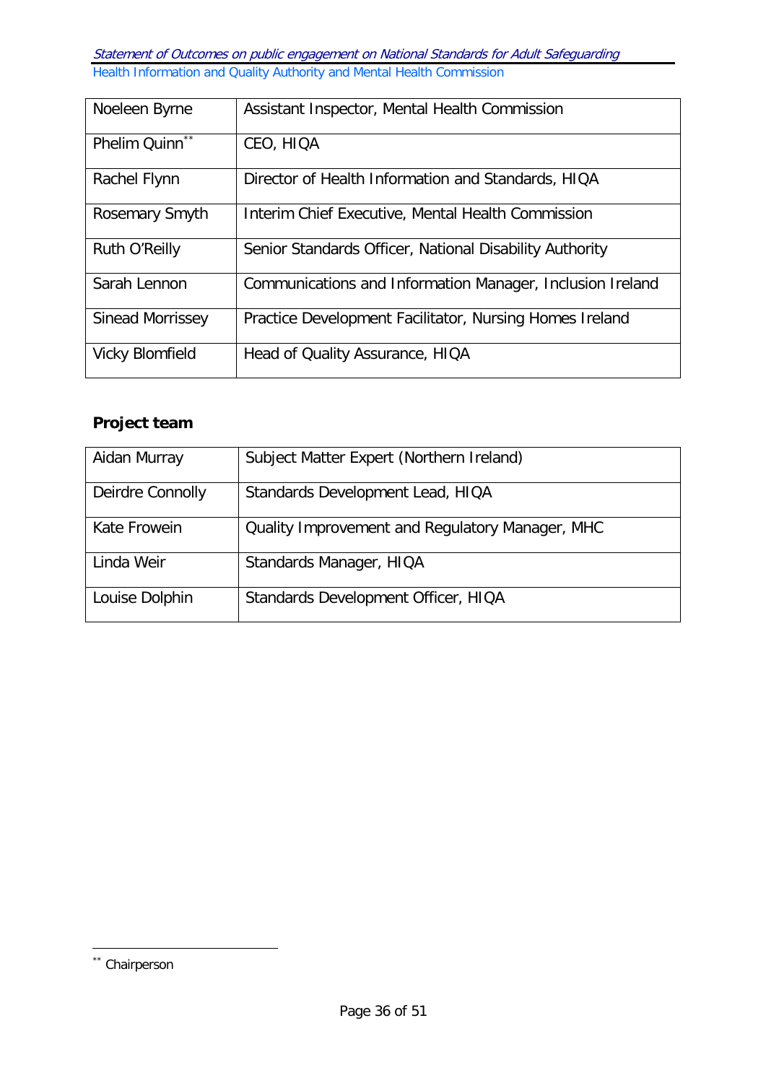| Noeleen Byrne           | Assistant Inspector, Mental Health Commission             |
|-------------------------|-----------------------------------------------------------|
| Phelim Quinn**          | CEO, HIQA                                                 |
| Rachel Flynn            | Director of Health Information and Standards, HIQA        |
| Rosemary Smyth          | Interim Chief Executive, Mental Health Commission         |
| Ruth O'Reilly           | Senior Standards Officer, National Disability Authority   |
| Sarah Lennon            | Communications and Information Manager, Inclusion Ireland |
| <b>Sinead Morrissey</b> | Practice Development Facilitator, Nursing Homes Ireland   |
| <b>Vicky Blomfield</b>  | Head of Quality Assurance, HIQA                           |

# **Project team**

| Aidan Murray     | Subject Matter Expert (Northern Ireland)        |
|------------------|-------------------------------------------------|
| Deirdre Connolly | Standards Development Lead, HIQA                |
| Kate Frowein     | Quality Improvement and Regulatory Manager, MHC |
| Linda Weir       | Standards Manager, HIQA                         |
| Louise Dolphin   | Standards Development Officer, HIQA             |

-

<span id="page-35-0"></span><sup>\*\*</sup> Chairperson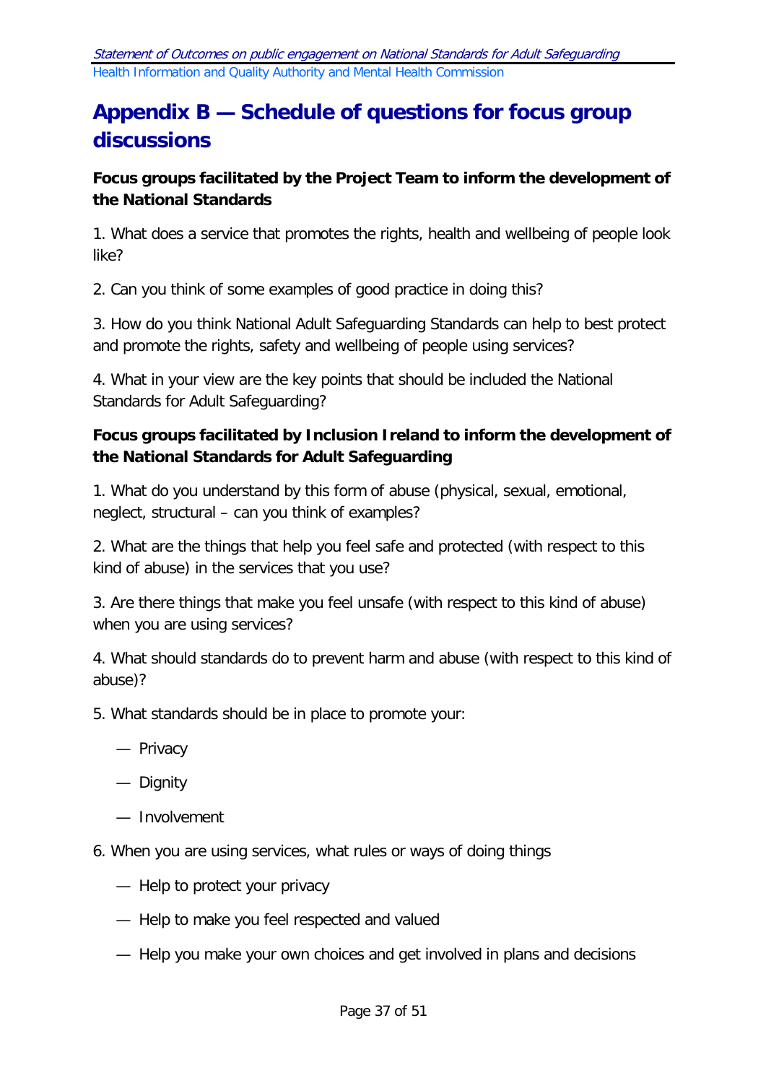# <span id="page-36-0"></span>**Appendix B — Schedule of questions for focus group discussions**

# **Focus groups facilitated by the Project Team to inform the development of the National Standards**

1. What does a service that promotes the rights, health and wellbeing of people look like?

2. Can you think of some examples of good practice in doing this?

3. How do you think National Adult Safeguarding Standards can help to best protect and promote the rights, safety and wellbeing of people using services?

4. What in your view are the key points that should be included the National Standards for Adult Safeguarding?

# **Focus groups facilitated by Inclusion Ireland to inform the development of the National Standards for Adult Safeguarding**

1. What do you understand by this form of abuse (physical, sexual, emotional, neglect, structural – can you think of examples?

2. What are the things that help you feel safe and protected (with respect to this kind of abuse) in the services that you use?

3. Are there things that make you feel unsafe (with respect to this kind of abuse) when you are using services?

4. What should standards do to prevent harm and abuse (with respect to this kind of abuse)?

- 5. What standards should be in place to promote your:
	- Privacy
	- Dignity
	- Involvement
- 6. When you are using services, what rules or ways of doing things
	- Help to protect your privacy
	- Help to make you feel respected and valued
	- Help you make your own choices and get involved in plans and decisions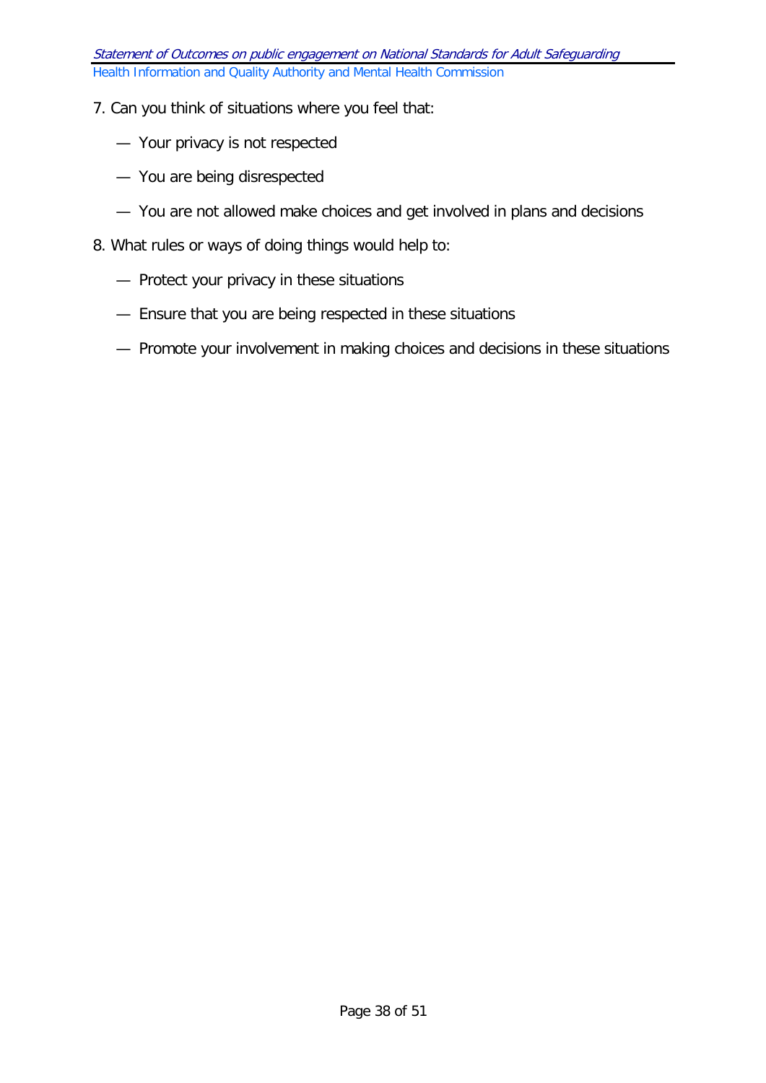#### 7. Can you think of situations where you feel that:

- Your privacy is not respected
- You are being disrespected
- You are not allowed make choices and get involved in plans and decisions
- 8. What rules or ways of doing things would help to:
	- Protect your privacy in these situations
	- Ensure that you are being respected in these situations
	- Promote your involvement in making choices and decisions in these situations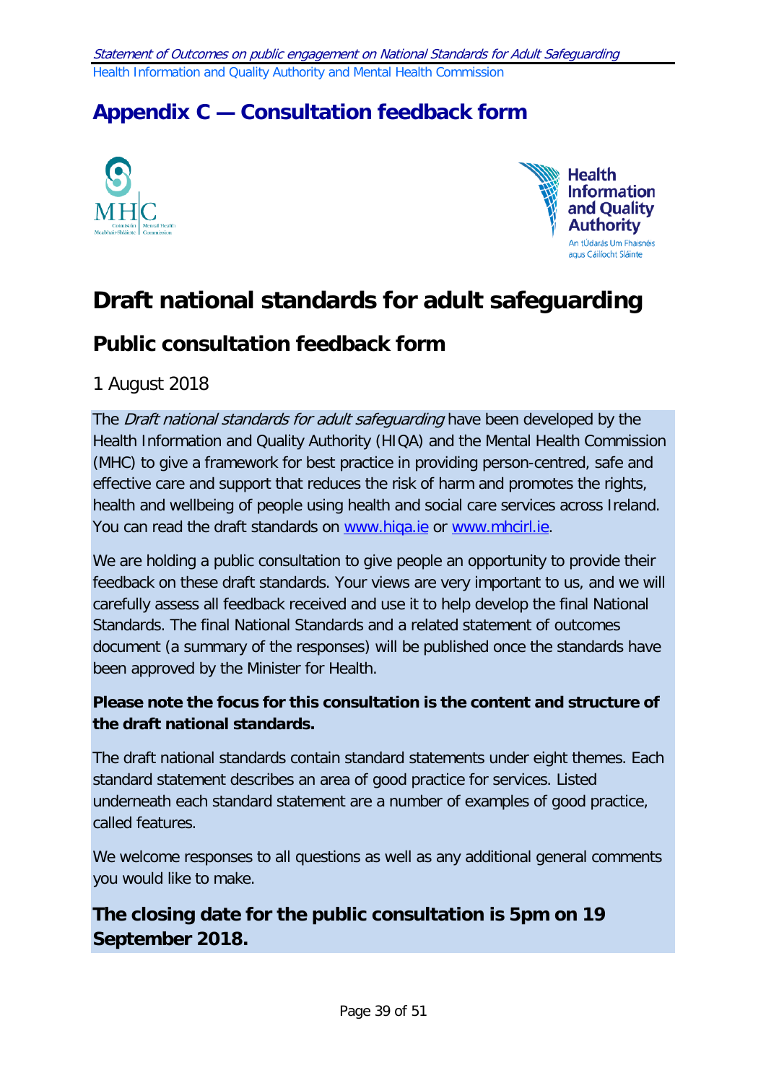# <span id="page-38-0"></span>**Appendix C — Consultation feedback form**





# **Draft national standards for adult safeguarding**

# **Public consultation feedback form**

1 August 2018

The Draft national standards for adult safeguarding have been developed by the Health Information and Quality Authority (HIQA) and the Mental Health Commission (MHC) to give a framework for best practice in providing person-centred, safe and effective care and support that reduces the risk of harm and promotes the rights, health and wellbeing of people using health and social care services across Ireland. You can read the draft standards on [www.hiqa.ie](http://www.hiqa.ie/) or [www.mhcirl.ie.](http://www.mhcirl.ie/)

We are holding a public consultation to give people an opportunity to provide their feedback on these draft standards. Your views are very important to us, and we will carefully assess all feedback received and use it to help develop the final National Standards. The final National Standards and a related statement of outcomes document (a summary of the responses) will be published once the standards have been approved by the Minister for Health.

# **Please note the focus for this consultation is the content and structure of the draft national standards.**

The draft national standards contain standard statements under eight themes. Each standard statement describes an area of good practice for services. Listed underneath each standard statement are a number of examples of good practice, called features.

We welcome responses to all questions as well as any additional general comments you would like to make.

# **The closing date for the public consultation is 5pm on 19 September 2018.**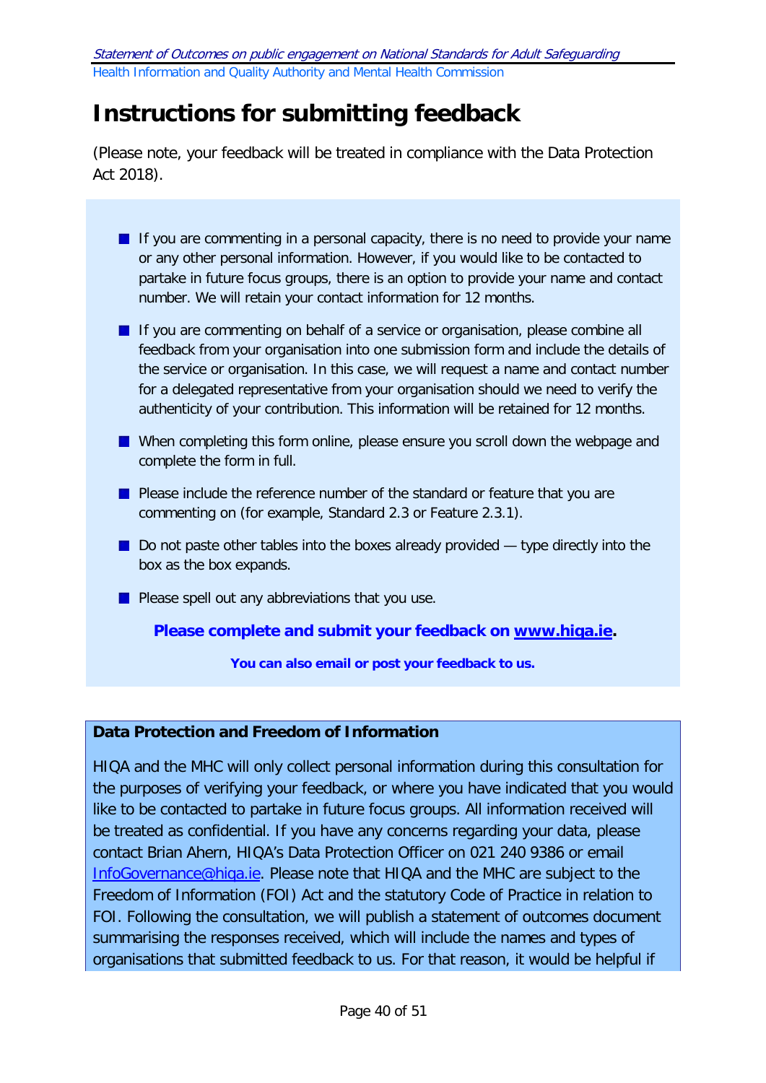# **Instructions for submitting feedback**

(Please note, your feedback will be treated in compliance with the Data Protection Act 2018).

| <b>If you are commenting in a personal capacity, there is no need to provide your name</b> |
|--------------------------------------------------------------------------------------------|
| or any other personal information. However, if you would like to be contacted to           |
| partake in future focus groups, there is an option to provide your name and contact        |
| number. We will retain your contact information for 12 months.                             |
|                                                                                            |

If you are commenting on behalf of a service or organisation, please combine all feedback from your organisation into one submission form and include the details of the service or organisation. In this case, we will request a name and contact number for a delegated representative from your organisation should we need to verify the authenticity of your contribution. This information will be retained for 12 months.

- When completing this form online, please ensure you scroll down the webpage and complete the form in full.
- **Please include the reference number of the standard or feature that you are** commenting on (for example, Standard 2.3 or Feature 2.3.1).
- $\blacksquare$  Do not paste other tables into the boxes already provided  $-$  type directly into the box as the box expands.
- **Please spell out any abbreviations that you use.**

#### **Please complete and submit your feedback on [www.hiqa.ie.](http://www.hiqa.ie/)**

**You can also email or post your feedback to us.**

# **Data Protection and Freedom of Information**

HIQA and the MHC will only collect personal information during this consultation for the purposes of verifying your feedback, or where you have indicated that you would like to be contacted to partake in future focus groups. All information received will be treated as confidential. If you have any concerns regarding your data, please contact Brian Ahern, HIQA's Data Protection Officer on 021 240 9386 or email [InfoGovernance@hiqa.ie.](mailto:InfoGovernance@hiqa.ie) Please note that HIQA and the MHC are subject to the Freedom of Information (FOI) Act and the statutory Code of Practice in relation to FOI. Following the consultation, we will publish a statement of outcomes document summarising the responses received, which will include the names and types of organisations that submitted feedback to us. For that reason, it would be helpful if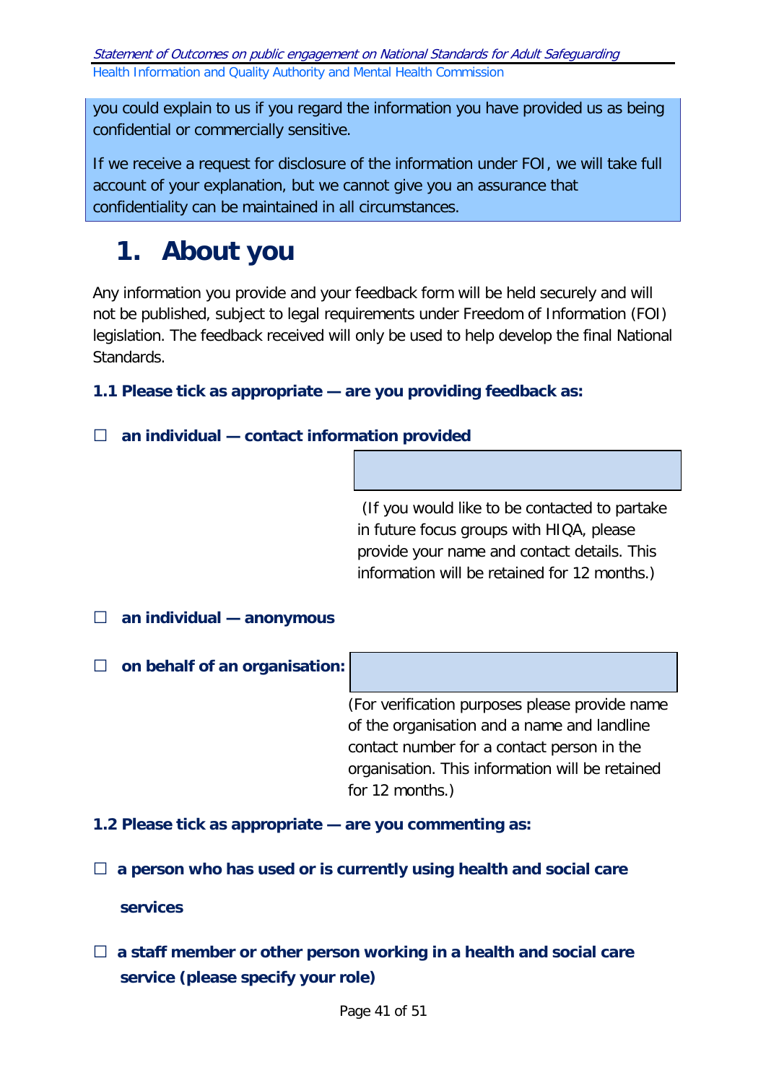you could explain to us if you regard the information you have provided us as being confidential or commercially sensitive.

If we receive a request for disclosure of the information under FOI, we will take full account of your explanation, but we cannot give you an assurance that confidentiality can be maintained in all circumstances.

# **1. About you**

Any information you provide and your feedback form will be held securely and will not be published, subject to legal requirements under Freedom of Information (FOI) legislation. The feedback received will only be used to help develop the final National Standards.

**1.1 Please tick as appropriate — are you providing feedback as:** 

# □ **an individual — contact information provided**

(If you would like to be contacted to partake in future focus groups with HIQA, please provide your name and contact details. This information will be retained for 12 months.)

# □ **an individual — anonymous**

# □ **on behalf of an organisation:**

(For verification purposes please provide name of the organisation and a name and landline contact number for a contact person in the organisation. This information will be retained for 12 months.)

**1.2 Please tick as appropriate — are you commenting as:** 

□ a person who has used or is currently using health and social care

#### **services**

□ a staff member or other person working in a health and social care **service (please specify your role)**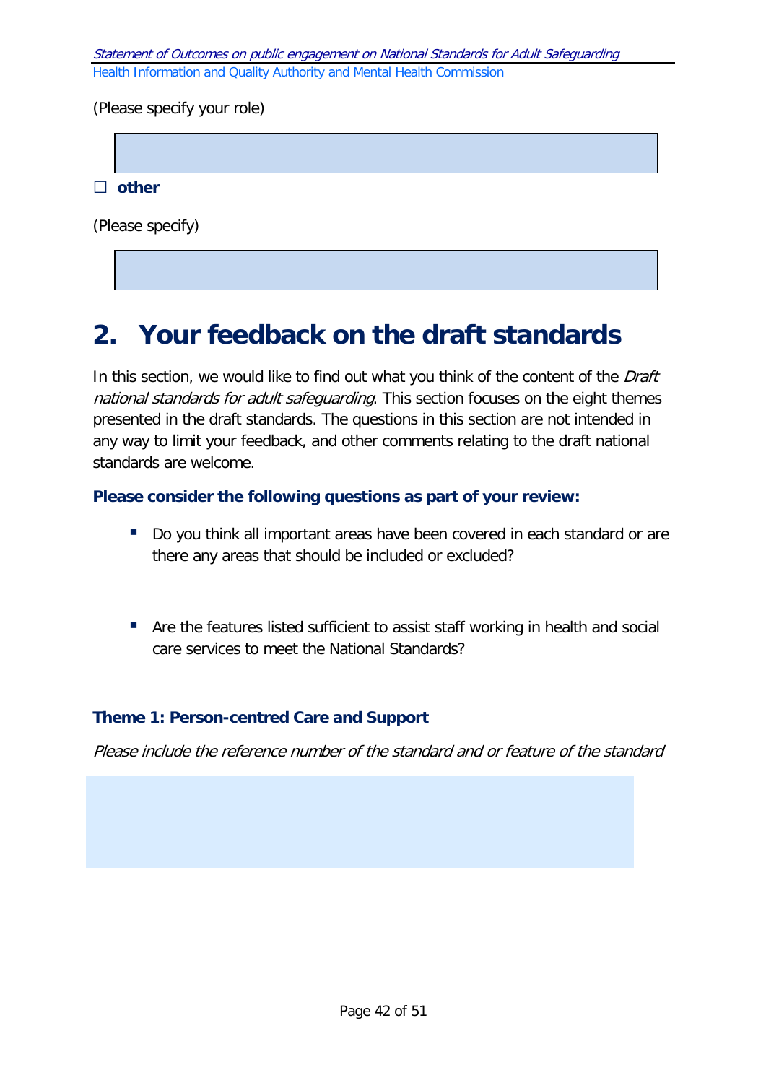(Please specify your role)

□ **other**

(Please specify)

# **2. Your feedback on the draft standards**

In this section, we would like to find out what you think of the content of the Draft national standards for adult safeguarding. This section focuses on the eight themes presented in the draft standards. The questions in this section are not intended in any way to limit your feedback, and other comments relating to the draft national standards are welcome.

#### **Please consider the following questions as part of your review:**

- Do you think all important areas have been covered in each standard or are there any areas that should be included or excluded?
- Are the features listed sufficient to assist staff working in health and social care services to meet the National Standards?

#### **Theme 1: Person-centred Care and Support**

Please include the reference number of the standard and or feature of the standard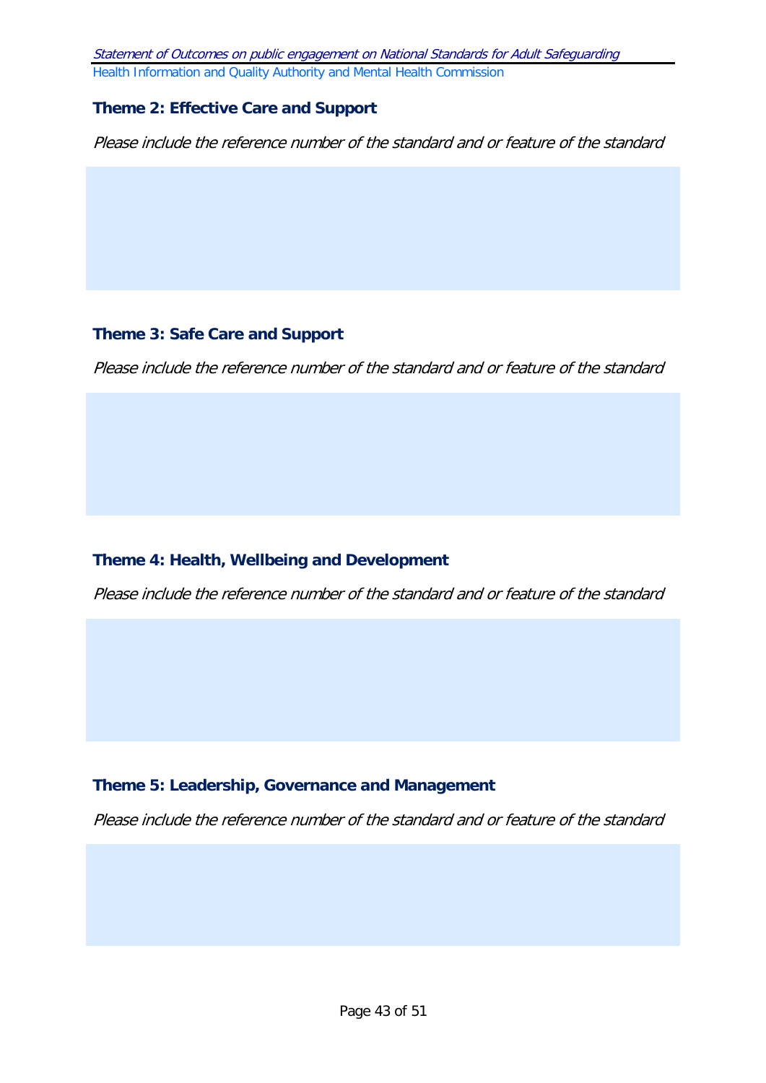#### **Theme 2: Effective Care and Support**

Please include the reference number of the standard and or feature of the standard

### **Theme 3: Safe Care and Support**

Please include the reference number of the standard and or feature of the standard

# **Theme 4: Health, Wellbeing and Development**

Please include the reference number of the standard and or feature of the standard

#### **Theme 5: Leadership, Governance and Management**

Please include the reference number of the standard and or feature of the standard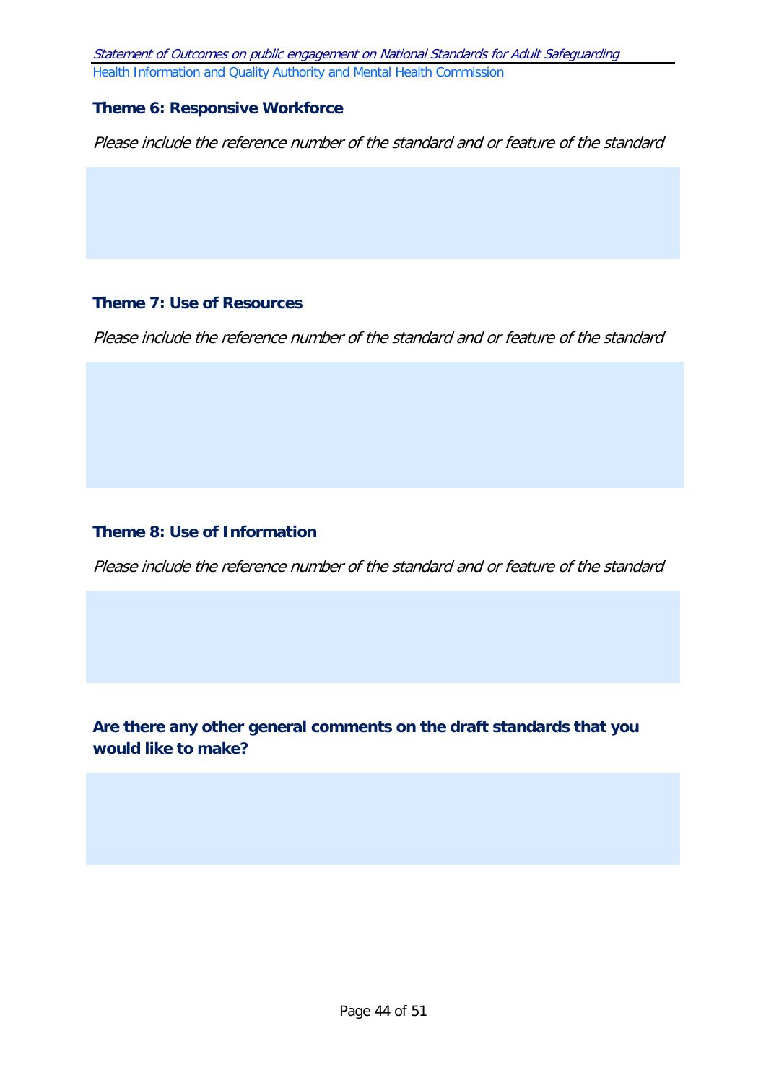#### **Theme 6: Responsive Workforce**

Please include the reference number of the standard and or feature of the standard

#### **Theme 7: Use of Resources**

Please include the reference number of the standard and or feature of the standard

#### **Theme 8: Use of Information**

Please include the reference number of the standard and or feature of the standard

**Are there any other general comments on the draft standards that you would like to make?**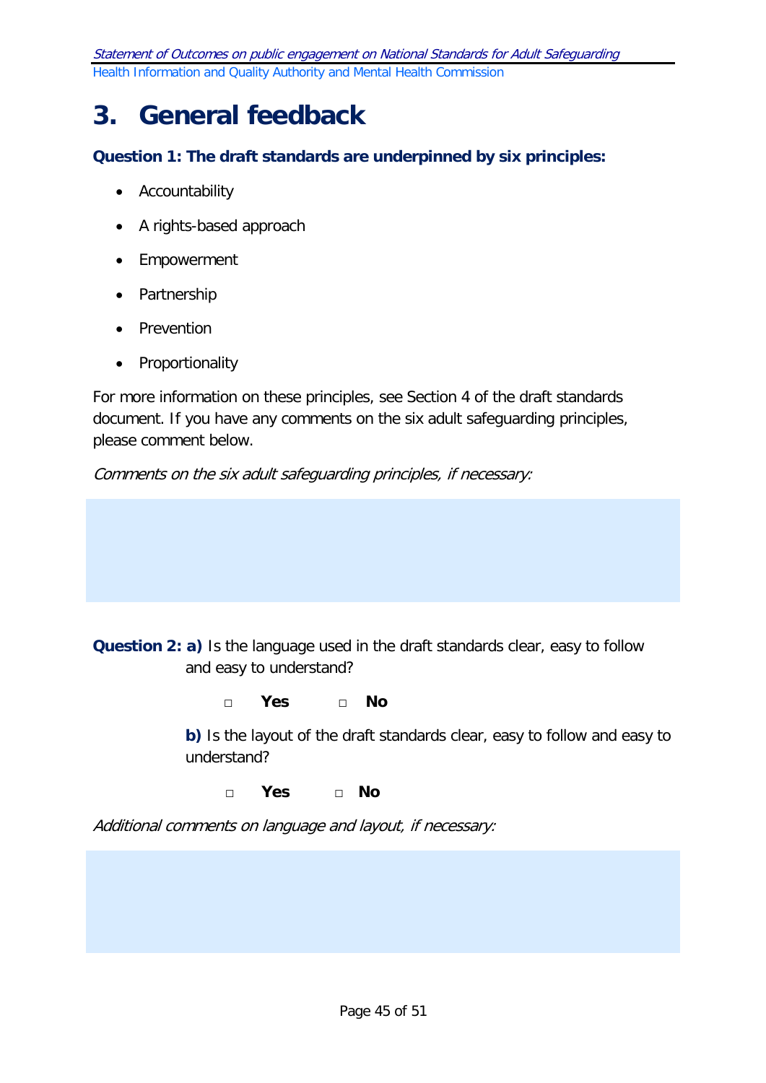# **3. General feedback**

**Question 1: The draft standards are underpinned by six principles:**

- Accountability
- A rights-based approach
- Empowerment
- Partnership
- Prevention
- Proportionality

For more information on these principles, see Section 4 of the draft standards document. If you have any comments on the six adult safeguarding principles, please comment below.

Comments on the six adult safeguarding principles, if necessary:

**Question 2: a)** Is the language used in the draft standards clear, easy to follow and easy to understand?

□ **Yes** □ **No** 

**b)** Is the layout of the draft standards clear, easy to follow and easy to understand?

□ **Yes** □ **No** 

Additional comments on language and layout, if necessary: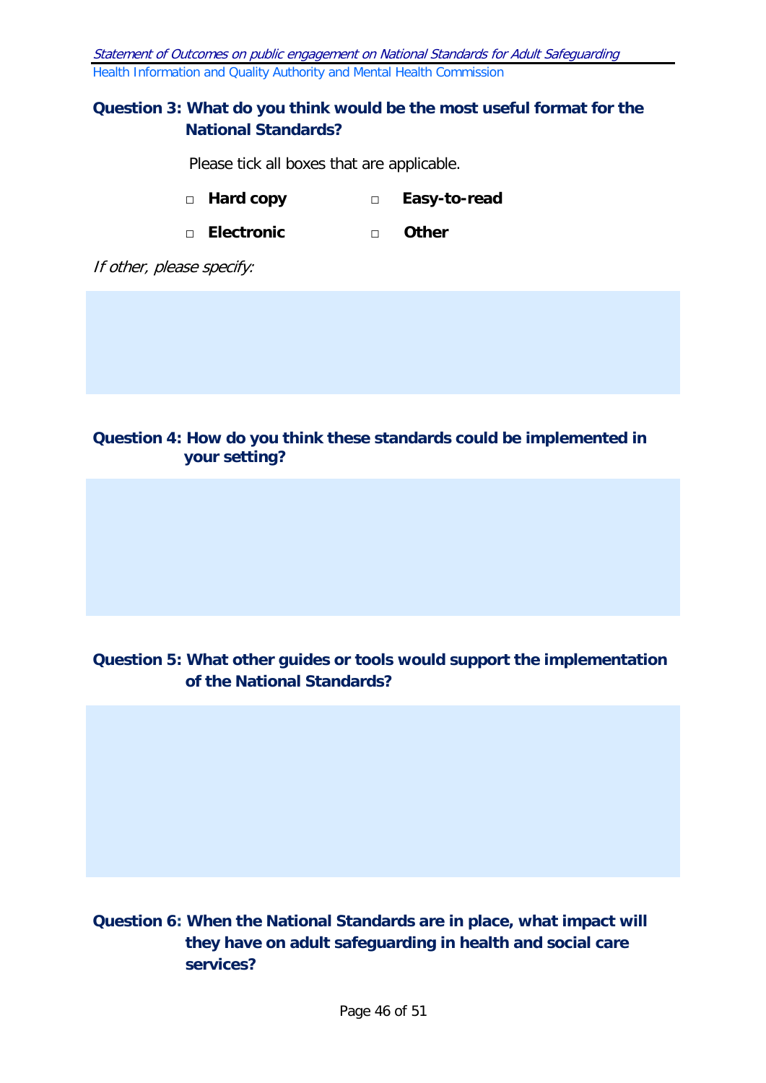#### **Question 3: What do you think would be the most useful format for the National Standards?**

Please tick all boxes that are applicable.

- □ **Hard copy** □ **Easy-to-read**
- □ **Electronic** □ **Other**

If other, please specify:

#### **Question 4: How do you think these standards could be implemented in your setting?**

# **Question 5: What other guides or tools would support the implementation of the National Standards?**

**Question 6: When the National Standards are in place, what impact will they have on adult safeguarding in health and social care services?**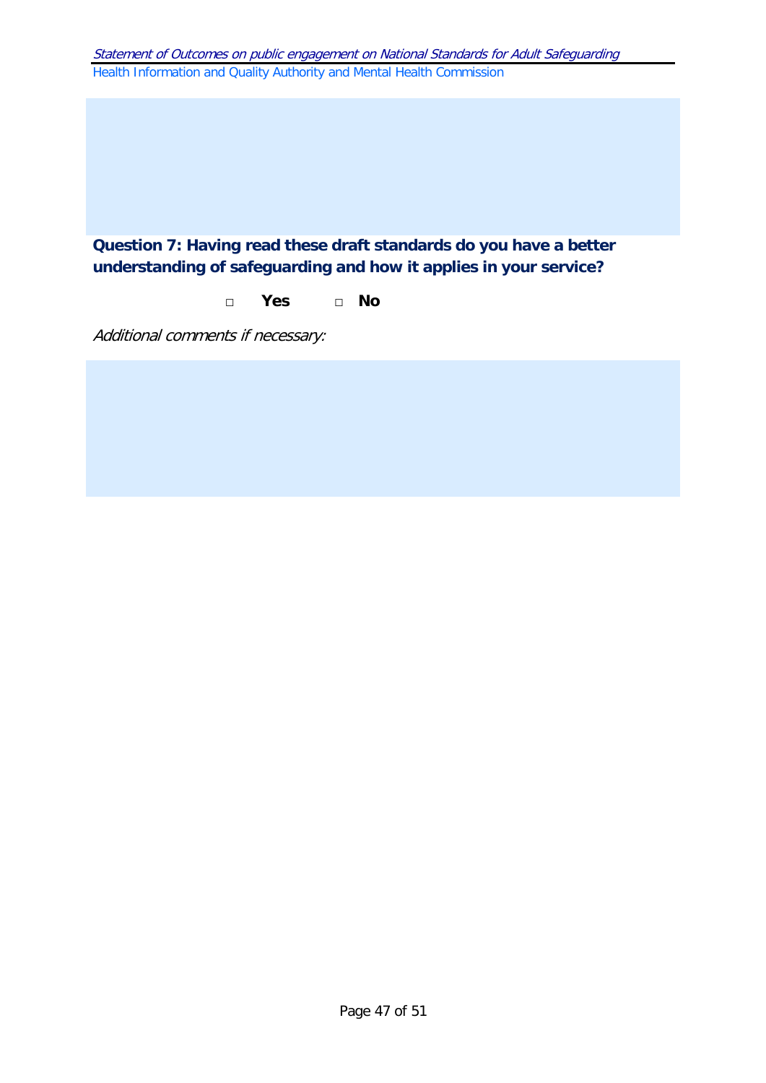# **Question 7: Having read these draft standards do you have a better understanding of safeguarding and how it applies in your service?**

#### □ **Yes** □ **No**

Additional comments if necessary: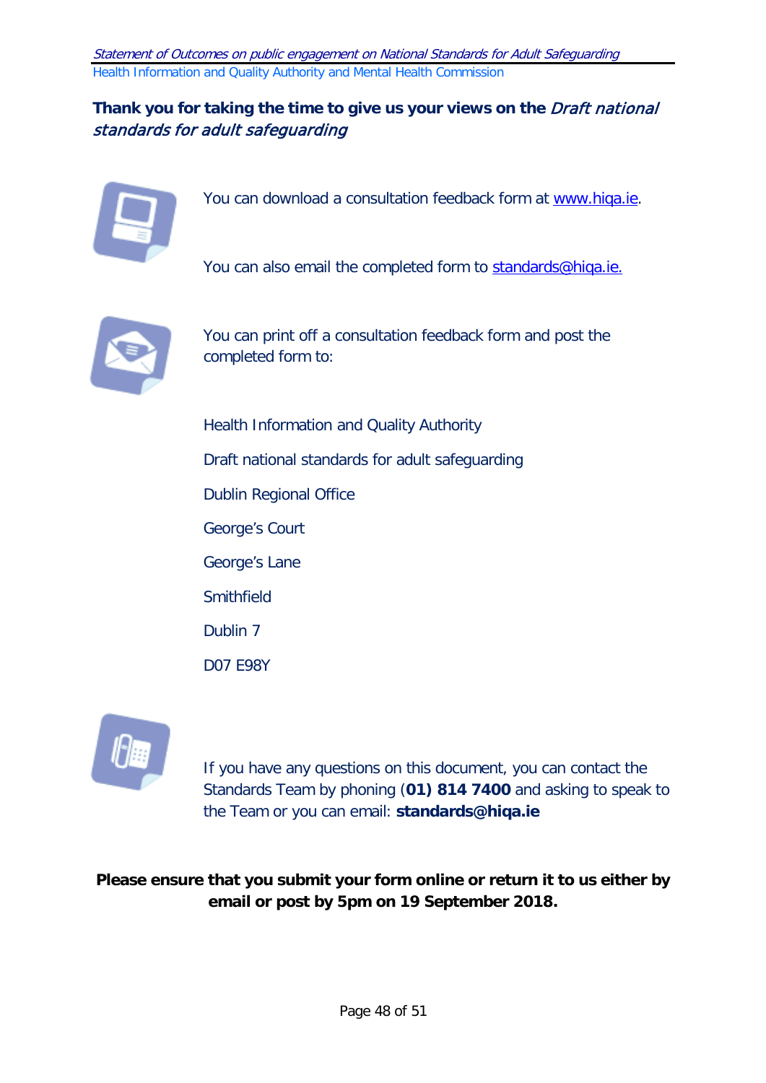# Thank you for taking the time to give us your views on the *Draft national* standards for adult safeguarding



You can download a consultation feedback form at [www.hiqa.ie.](http://www.hiqa.ie/)

You can also email the completed form to [standards@hiqa.ie.](mailto:standards@hiqa.ie)



You can print off a consultation feedback form and post the completed form to:

Health Information and Quality Authority Draft national standards for adult safeguarding Dublin Regional Office George's Court George's Lane **Smithfield** Dublin 7 D07 E98Y



If you have any questions on this document, you can contact the Standards Team by phoning (**01) 814 7400** and asking to speak to the Team or you can email: **standards@hiqa.ie**

**Please ensure that you submit your form online or return it to us either by email or post by 5pm on 19 September 2018.**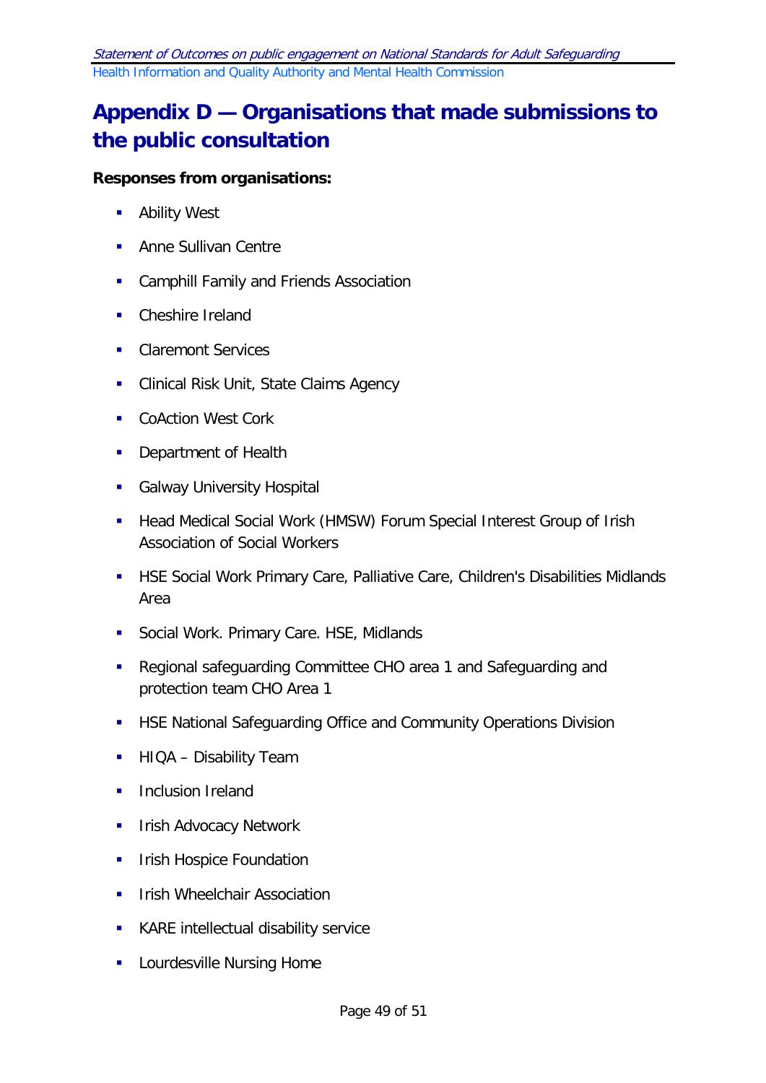# <span id="page-48-0"></span>**Appendix D — Organisations that made submissions to the public consultation**

# **Responses from organisations:**

- **Ability West**
- **Anne Sullivan Centre**
- **EXEC** Camphill Family and Friends Association
- Cheshire Ireland
- **Claremont Services**
- **EXECLINICAL Risk Unit, State Claims Agency**
- **CoAction West Cork**
- **Department of Health**
- **Galway University Hospital**
- **Head Medical Social Work (HMSW) Forum Special Interest Group of Irish** Association of Social Workers
- HSE Social Work Primary Care, Palliative Care, Children's Disabilities Midlands Area
- **Social Work. Primary Care. HSE, Midlands**
- Regional safeguarding Committee CHO area 1 and Safeguarding and protection team CHO Area 1
- **HISE National Safeguarding Office and Community Operations Division**
- **HIQA Disability Team**
- **Inclusion Ireland**
- **IFILM** Irish Advocacy Network
- **IFILM** Irish Hospice Foundation
- **IFILM** Irish Wheelchair Association
- **KARE** intellectual disability service
- **Lourdesville Nursing Home**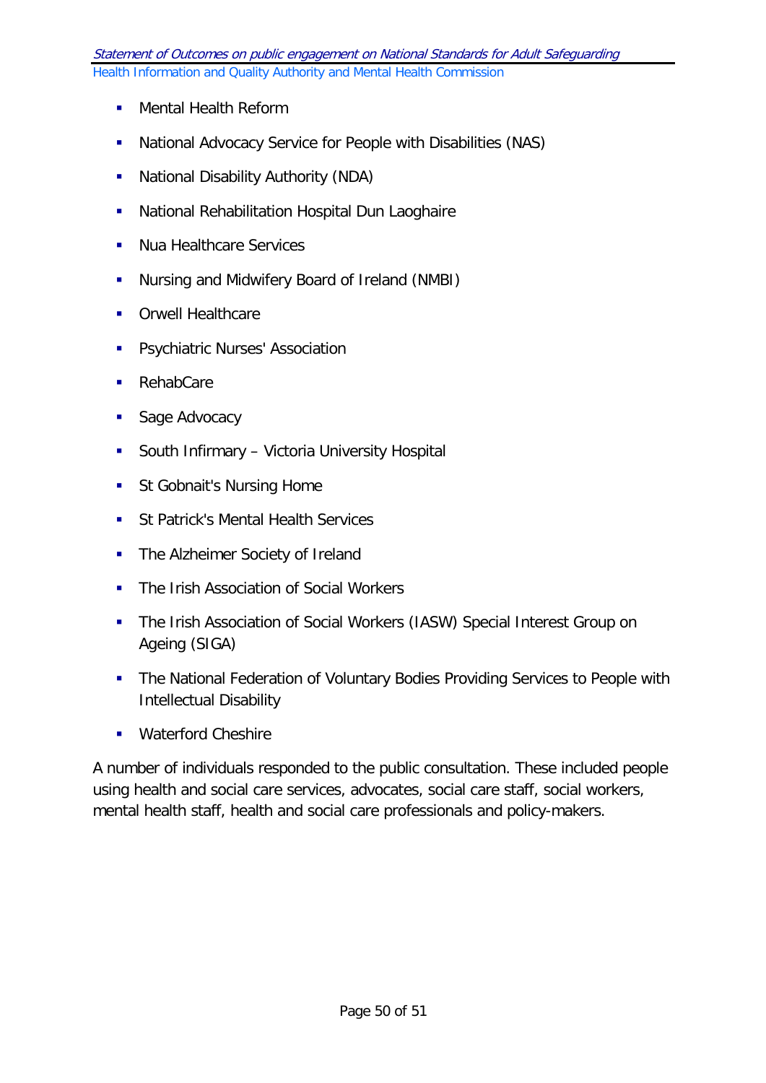- **Mental Health Reform**
- National Advocacy Service for People with Disabilities (NAS)
- **National Disability Authority (NDA)**
- **-** National Rehabilitation Hospital Dun Laoghaire
- **Nua Healthcare Services**
- **Nursing and Midwifery Board of Ireland (NMBI)**
- **Crwell Healthcare**
- **Psychiatric Nurses' Association**
- RehabCare
- **Sage Advocacy**
- **South Infirmary Victoria University Hospital**
- **St Gobnait's Nursing Home**
- **St Patrick's Mental Health Services**
- The Alzheimer Society of Ireland
- **The Irish Association of Social Workers**
- The Irish Association of Social Workers (IASW) Special Interest Group on Ageing (SIGA)
- **The National Federation of Voluntary Bodies Providing Services to People with** Intellectual Disability
- **Waterford Cheshire**

A number of individuals responded to the public consultation. These included people using health and social care services, advocates, social care staff, social workers, mental health staff, health and social care professionals and policy-makers.